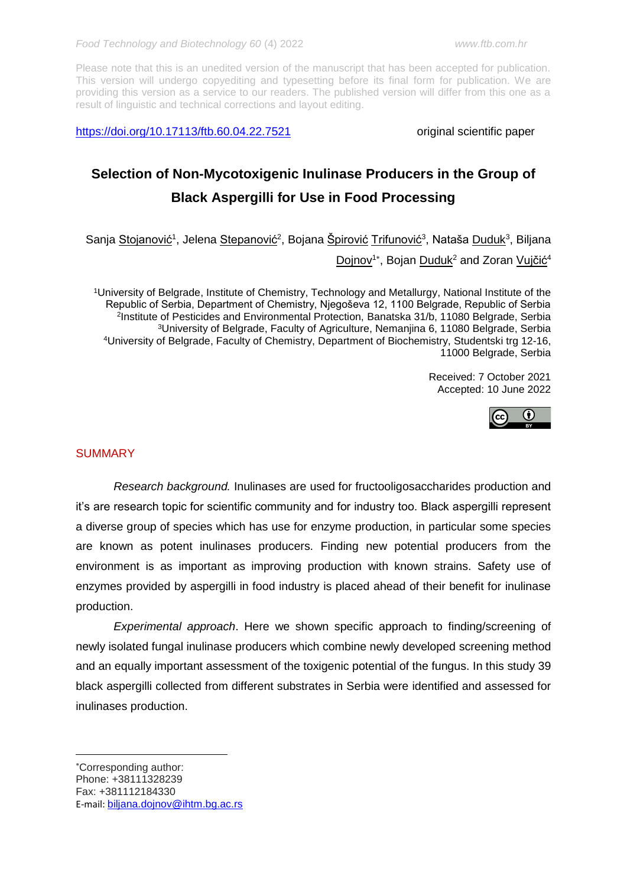<https://doi.org/10.17113/ftb.60.04.22.7521> original scientific paper

# **Selection of Non-Mycotoxigenic Inulinase Producers in the Group of Black Aspergilli for Use in Food Processing**

Sanja <u>Stojanović</u><sup>1</sup>, Jelena <u>Stepanović</u><sup>2</sup>, Bojana <u>Špirović Trifunović</u><sup>3</sup>, Nataša <u>Duduk</u><sup>3</sup>, Biljana Dojnov<sup>1\*</sup>, Bojan Duduk<sup>2</sup> and Zoran Vujčić<sup>4</sup>

University of Belgrade, Institute of Chemistry, Technology and Metallurgy, National Institute of the Republic of Serbia, Department of Chemistry, Njegoševa 12, 1100 Belgrade, Republic of Serbia Institute of Pesticides and Environmental Protection, Banatska 31/b, 11080 Belgrade, Serbia University of Belgrade, Faculty of Agriculture, Nemanjina 6, 11080 Belgrade, Serbia University of Belgrade, Faculty of Chemistry, Department of Biochemistry, Studentski trg 12-16, 11000 Belgrade, Serbia

> Received: 7 October 2021 Accepted: 10 June 2022



# **SUMMARY**

**.** 

*Research background.* Inulinases are used for fructooligosaccharides production and it's are research topic for scientific community and for industry too. Black aspergilli represent a diverse group of species which has use for enzyme production, in particular some species are known as potent inulinases producers. Finding new potential producers from the environment is as important as improving production with known strains. Safety use of enzymes provided by aspergilli in food industry is placed ahead of their benefit for inulinase production.

*Experimental approach*. Here we shown specific approach to finding/screening of newly isolated fungal inulinase producers which combine newly developed screening method and an equally important assessment of the toxigenic potential of the fungus. In this study 39 black aspergilli collected from different substrates in Serbia were identified and assessed for inulinases production.

Corresponding author: Phone: +38111328239 Fax: +381112184330 E-mail: [biljana.dojnov@ihtm.bg.ac.rs](mailto:Biljana.dojnov@ihtm.bg.ac.rs)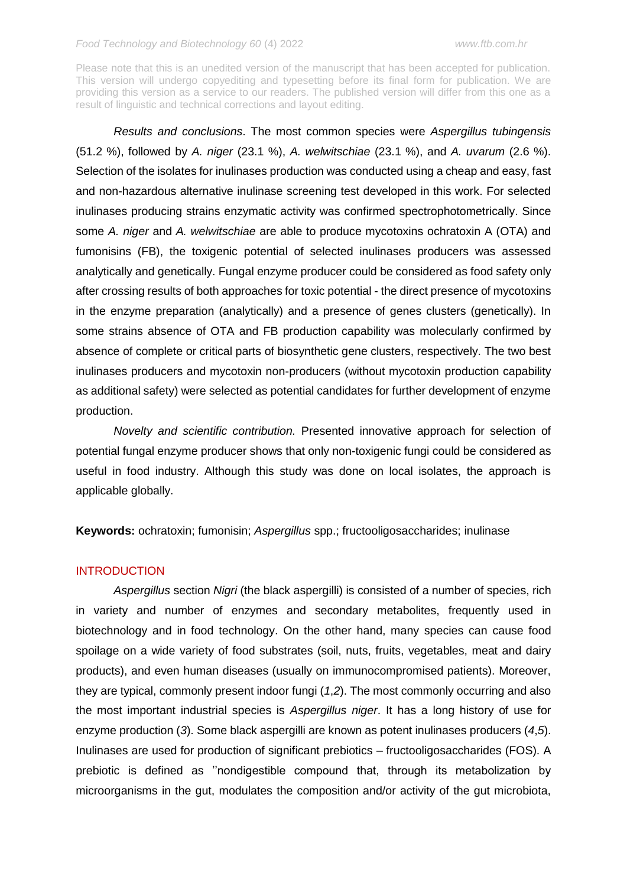Please note that this is an unedited version of the manuscript that has been accepted for publication. This version will undergo copyediting and typesetting before its final form for publication. We are providing this version as a service to our readers. The published version will differ from this one as a result of linguistic and technical corrections and layout editing.

*Results and conclusions*. The most common species were *Aspergillus tubingensis* (51.2 %), followed by *A. niger* (23.1 %), *A. welwitschiae* (23.1 %), and *A. uvarum* (2.6 %). Selection of the isolates for inulinases production was conducted using a cheap and easy, fast and non-hazardous alternative inulinase screening test developed in this work. For selected inulinases producing strains enzymatic activity was confirmed spectrophotometrically. Since some *A. niger* and *A. welwitschiae* are able to produce mycotoxins ochratoxin A (OTA) and fumonisins (FB), the toxigenic potential of selected inulinases producers was assessed analytically and genetically. Fungal enzyme producer could be considered as food safety only after crossing results of both approaches for toxic potential - the direct presence of mycotoxins in the enzyme preparation (analytically) and a presence of genes clusters (genetically). In some strains absence of OTA and FB production capability was molecularly confirmed by absence of complete or critical parts of biosynthetic gene clusters, respectively. The two best inulinases producers and mycotoxin non-producers (without mycotoxin production capability as additional safety) were selected as potential candidates for further development of enzyme production.

*Novelty and scientific contribution.* Presented innovative approach for selection of potential fungal enzyme producer shows that only non-toxigenic fungi could be considered as useful in food industry. Although this study was done on local isolates, the approach is applicable globally.

**Keywords:** ochratoxin; fumonisin; *Aspergillus* spp.; fructooligosaccharides; inulinase

# **INTRODUCTION**

*Aspergillus* section *Nigri* (the black aspergilli) is consisted of a number of species, rich in variety and number of enzymes and secondary metabolites, frequently used in biotechnology and in food technology. On the other hand, many species can cause food spoilage on a wide variety of food substrates (soil, nuts, fruits, vegetables, meat and dairy products), and even human diseases (usually on immunocompromised patients). Moreover, they are typical, commonly present indoor fungi (*1*,*2*). The most commonly occurring and also the most important industrial species is *Aspergillus niger*. It has a long history of use for enzyme production (*3*). Some black aspergilli are known as potent inulinases producers (*4*,*5*). Inulinases are used for production of significant prebiotics – fructooligosaccharides (FOS). A prebiotic is defined as ''nondigestible compound that, through its metabolization by microorganisms in the gut, modulates the composition and/or activity of the gut microbiota,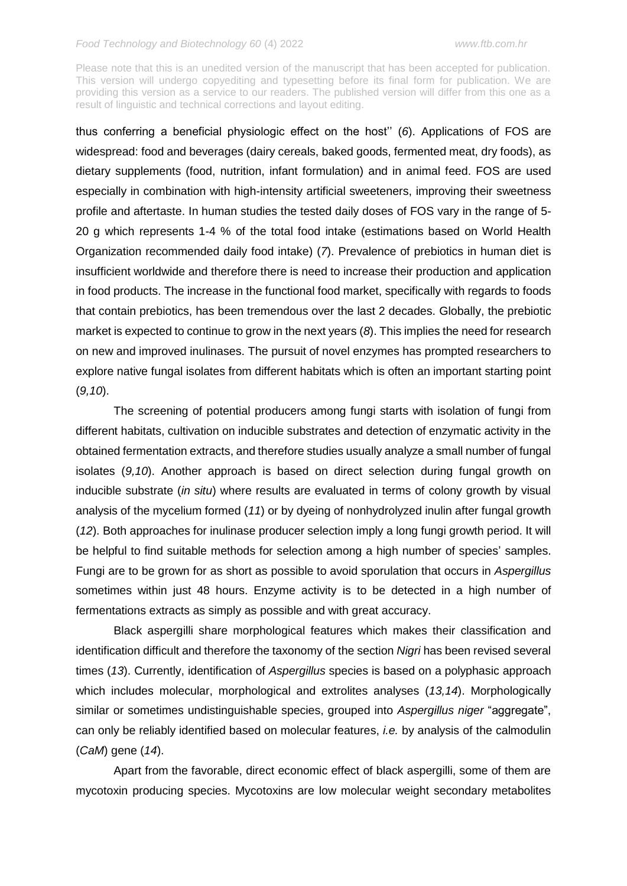Please note that this is an unedited version of the manuscript that has been accepted for publication. This version will undergo copyediting and typesetting before its final form for publication. We are providing this version as a service to our readers. The published version will differ from this one as a result of linguistic and technical corrections and layout editing.

thus conferring a beneficial physiologic effect on the host'' (*6*). Applications of FOS are widespread: food and beverages (dairy cereals, baked goods, fermented meat, dry foods), as dietary supplements (food, nutrition, infant formulation) and in animal feed. FOS are used especially in combination with high-intensity artificial sweeteners, improving their sweetness profile and aftertaste. In human studies the tested daily doses of FOS vary in the range of 5- 20 g which represents 1-4 % of the total food intake (estimations based on World Health Organization recommended daily food intake) (*7*). Prevalence of prebiotics in human diet is insufficient worldwide and therefore there is need to increase their production and application in food products. The increase in the functional food market, specifically with regards to foods that contain prebiotics, has been tremendous over the last 2 decades. Globally, the prebiotic market is expected to continue to grow in the next years (*8*). This implies the need for research on new and improved inulinases. The pursuit of novel enzymes has prompted researchers to explore native fungal isolates from different habitats which is often an important starting point (*9,10*).

The screening of potential producers among fungi starts with isolation of fungi from different habitats, cultivation on inducible substrates and detection of enzymatic activity in the obtained fermentation extracts, and therefore studies usually analyze a small number of fungal isolates (*9,10*). Another approach is based on direct selection during fungal growth on inducible substrate (*in situ*) where results are evaluated in terms of colony growth by visual analysis of the mycelium formed (*11*) or by dyeing of nonhydrolyzed inulin after fungal growth (*12*). Both approaches for inulinase producer selection imply a long fungi growth period. It will be helpful to find suitable methods for selection among a high number of species' samples. Fungi are to be grown for as short as possible to avoid sporulation that occurs in *Aspergillus*  sometimes within just 48 hours. Enzyme activity is to be detected in a high number of fermentations extracts as simply as possible and with great accuracy.

Black aspergilli share morphological features which makes their classification and identification difficult and therefore the taxonomy of the section *Nigri* has been revised several times (*13*). Currently, identification of *Aspergillus* species is based on a polyphasic approach which includes molecular, morphological and extrolites analyses (*13,14*). Morphologically similar or sometimes undistinguishable species, grouped into *Aspergillus niger* "aggregate", can only be reliably identified based on molecular features, *i.e.* by analysis of the calmodulin (*CaM*) gene (*14*).

Apart from the favorable, direct economic effect of black aspergilli, some of them are mycotoxin producing species. Mycotoxins are low molecular weight secondary metabolites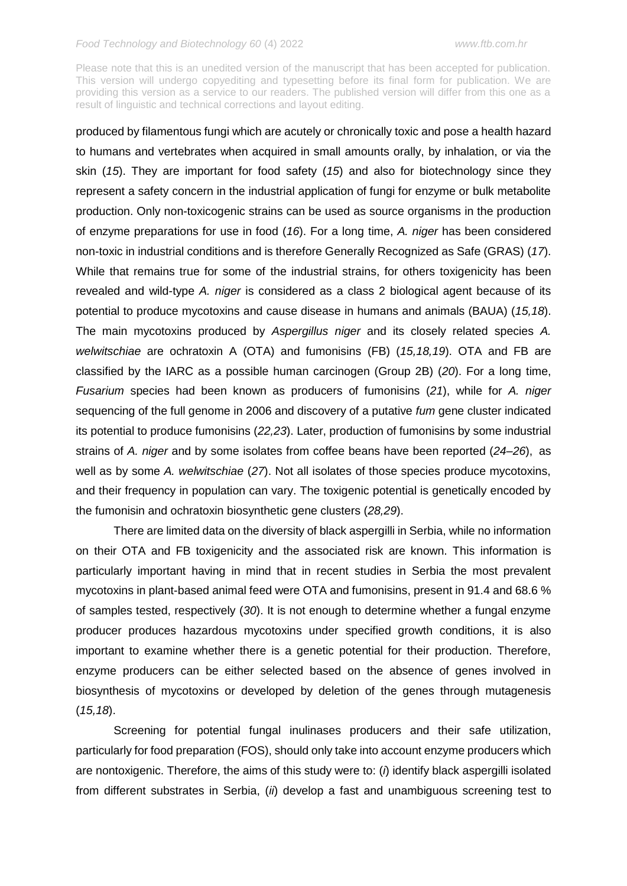Please note that this is an unedited version of the manuscript that has been accepted for publication. This version will undergo copyediting and typesetting before its final form for publication. We are providing this version as a service to our readers. The published version will differ from this one as a result of linguistic and technical corrections and layout editing.

produced by filamentous fungi which are acutely or chronically toxic and pose a health hazard to humans and vertebrates when acquired in small amounts orally, by inhalation, or via the skin (*15*). They are important for food safety (*15*) and also for biotechnology since they represent a safety concern in the industrial application of fungi for enzyme or bulk metabolite production. Only non-toxicogenic strains can be used as source organisms in the production of enzyme preparations for use in food (*16*). For a long time, *A. niger* has been considered non-toxic in industrial conditions and is therefore Generally Recognized as Safe (GRAS) (*17*). While that remains true for some of the industrial strains, for others toxigenicity has been revealed and wild-type *A. niger* is considered as a class 2 biological agent because of its potential to produce mycotoxins and cause disease in humans and animals (BAUA) (*15,18*). The main mycotoxins produced by *Aspergillus niger* and its closely related species *A. welwitschiae* are ochratoxin A (OTA) and fumonisins (FB) (*15,18,19*). OTA and FB are classified by the IARC as a possible human carcinogen (Group 2B) (*20*). For a long time, *Fusarium* species had been known as producers of fumonisins (*21*), while for *A. niger* sequencing of the full genome in 2006 and discovery of a putative *fum* gene cluster indicated its potential to produce fumonisins (*22,23*). Later, production of fumonisins by some industrial strains of *A. niger* and by some isolates from coffee beans have been reported (*24–26*), as well as by some *A. welwitschiae* (*27*). Not all isolates of those species produce mycotoxins, and their frequency in population can vary. The toxigenic potential is genetically encoded by the fumonisin and ochratoxin biosynthetic gene clusters (*28,29*).

There are limited data on the diversity of black aspergilli in Serbia, while no information on their OTA and FB toxigenicity and the associated risk are known. This information is particularly important having in mind that in recent studies in Serbia the most prevalent mycotoxins in plant-based animal feed were OTA and fumonisins, present in 91.4 and 68.6 % of samples tested, respectively (*30*). It is not enough to determine whether a fungal enzyme producer produces hazardous mycotoxins under specified growth conditions, it is also important to examine whether there is a genetic potential for their production. Therefore, enzyme producers can be either selected based on the absence of genes involved in biosynthesis of mycotoxins or developed by deletion of the genes through mutagenesis (*15,18*).

Screening for potential fungal inulinases producers and their safe utilization, particularly for food preparation (FOS), should only take into account enzyme producers which are nontoxigenic. Therefore, the aims of this study were to: (*i*) identify black aspergilli isolated from different substrates in Serbia, (*ii*) develop a fast and unambiguous screening test to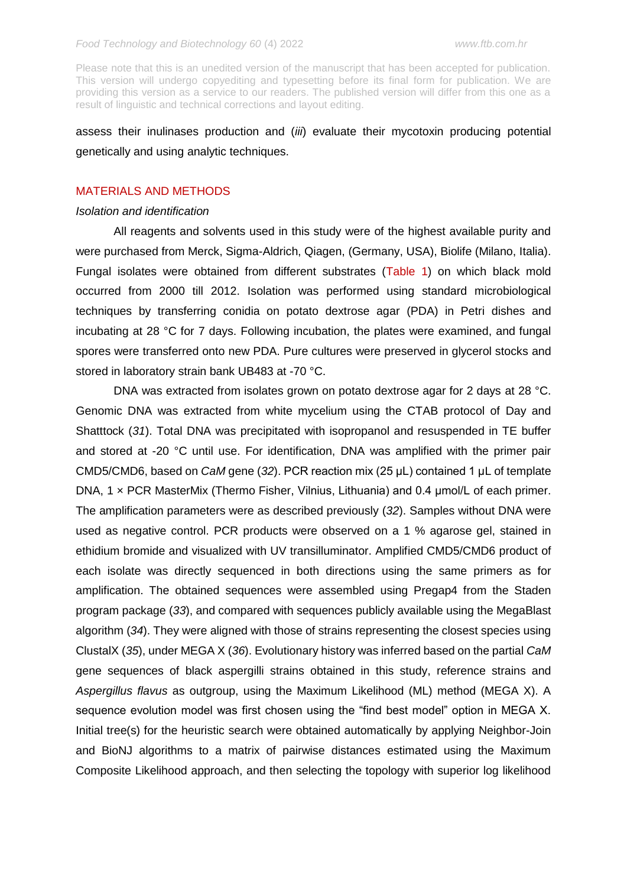assess their inulinases production and (*iii*) evaluate their mycotoxin producing potential genetically and using analytic techniques.

# MATERIALS AND METHODS

#### *Isolation and identification*

All reagents and solvents used in this study were of the highest available purity and were purchased from Merck, Sigma-Aldrich, Qiagen, (Germany, USA), Biolife (Milano, Italia). Fungal isolates were obtained from different substrates (Table 1) on which black mold occurred from 2000 till 2012. Isolation was performed using standard microbiological techniques by transferring conidia on potato dextrose agar (PDA) in Petri dishes and incubating at 28 °C for 7 days. Following incubation, the plates were examined, and fungal spores were transferred onto new PDA. Pure cultures were preserved in glycerol stocks and stored in laboratory strain bank UB483 at -70 °C.

DNA was extracted from isolates grown on potato dextrose agar for 2 days at 28 °C. Genomic DNA was extracted from white mycelium using the CTAB protocol of Day and Shatttock (*31*). Total DNA was precipitated with isopropanol and resuspended in TE buffer and stored at -20 °C until use. For identification, DNA was amplified with the primer pair CMD5/CMD6, based on *CaM* gene (*32*). PCR reaction mix (25 μL) contained 1 µL of template DNA, 1 × PCR MasterMix (Thermo Fisher, Vilnius, Lithuania) and 0.4 μmol/L of each primer. The amplification parameters were as described previously (*32*). Samples without DNA were used as negative control. PCR products were observed on a 1 % agarose gel, stained in ethidium bromide and visualized with UV transilluminator. Amplified CMD5/CMD6 product of each isolate was directly sequenced in both directions using the same primers as for amplification. The obtained sequences were assembled using Pregap4 from the Staden program package (*33*), and compared with sequences publicly available using the MegaBlast algorithm (*34*). They were aligned with those of strains representing the closest species using ClustalX (*35*), under MEGA X (*36*). Evolutionary history was inferred based on the partial *CaM* gene sequences of black aspergilli strains obtained in this study, reference strains and *Aspergillus flavus* as outgroup, using the Maximum Likelihood (ML) method (MEGA X). A sequence evolution model was first chosen using the "find best model" option in MEGA X. Initial tree(s) for the heuristic search were obtained automatically by applying Neighbor-Join and BioNJ algorithms to a matrix of pairwise distances estimated using the Maximum Composite Likelihood approach, and then selecting the topology with superior log likelihood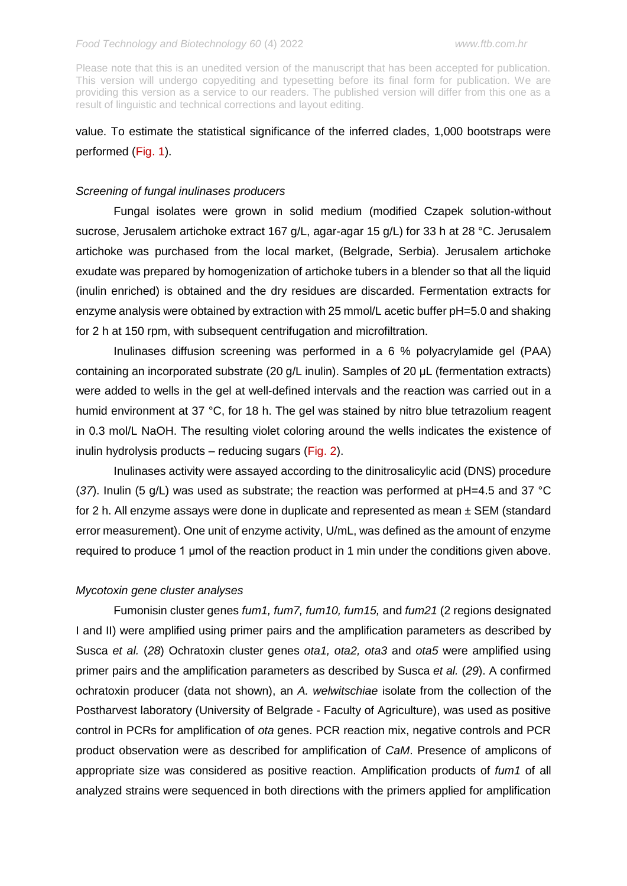# value. To estimate the statistical significance of the inferred clades, 1,000 bootstraps were performed (Fig. 1).

# *Screening of fungal inulinases producers*

Fungal isolates were grown in solid medium (modified Czapek solution-without sucrose, Jerusalem artichoke extract 167 g/L, agar-agar 15 g/L) for 33 h at 28 °C. Jerusalem artichoke was purchased from the local market, (Belgrade, Serbia). Jerusalem artichoke exudate was prepared by homogenization of artichoke tubers in a blender so that all the liquid (inulin enriched) is obtained and the dry residues are discarded. Fermentation extracts for enzyme analysis were obtained by extraction with 25 mmol/L acetic buffer pH=5.0 and shaking for 2 h at 150 rpm, with subsequent centrifugation and microfiltration.

Inulinases diffusion screening was performed in a 6 % polyacrylamide gel (PAA) containing an incorporated substrate (20 g/L inulin). Samples of 20 μL (fermentation extracts) were added to wells in the gel at well-defined intervals and the reaction was carried out in a humid environment at 37 °C, for 18 h. The gel was stained by nitro blue tetrazolium reagent in 0.3 mol/L NaOH. The resulting violet coloring around the wells indicates the existence of inulin hydrolysis products – reducing sugars (Fig. 2).

Inulinases activity were assayed according to the dinitrosalicylic acid (DNS) procedure (*37*). Inulin (5 g/L) was used as substrate; the reaction was performed at pH=4.5 and 37 °C for 2 h. All enzyme assays were done in duplicate and represented as mean  $\pm$  SEM (standard error measurement). One unit of enzyme activity, U/mL, was defined as the amount of enzyme required to produce 1 μmol of the reaction product in 1 min under the conditions given above.

#### *Mycotoxin gene cluster analyses*

Fumonisin cluster genes *fum1, fum7, fum10, fum15,* and *fum21* (2 regions designated I and II) were amplified using primer pairs and the amplification parameters as described by Susca *et al.* (*28*) Ochratoxin cluster genes *ota1, ota2, ota3* and *ota5* were amplified using primer pairs and the amplification parameters as described by Susca *et al.* (*29*). A confirmed ochratoxin producer (data not shown), an *A. welwitschiae* isolate from the collection of the Postharvest laboratory (University of Belgrade - Faculty of Agriculture), was used as positive control in PCRs for amplification of *ota* genes. PCR reaction mix, negative controls and PCR product observation were as described for amplification of *CaM*. Presence of amplicons of appropriate size was considered as positive reaction. Amplification products of *fum1* of all analyzed strains were sequenced in both directions with the primers applied for amplification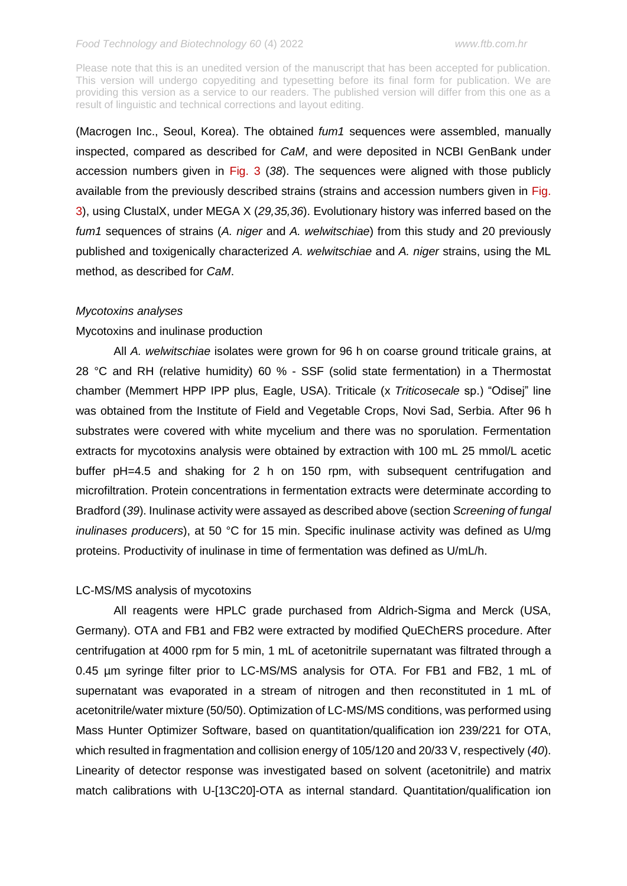Please note that this is an unedited version of the manuscript that has been accepted for publication. This version will undergo copyediting and typesetting before its final form for publication. We are providing this version as a service to our readers. The published version will differ from this one as a result of linguistic and technical corrections and layout editing.

(Macrogen Inc., Seoul, Korea). The obtained *fum1* sequences were assembled, manually inspected, compared as described for *CaM*, and were deposited in NCBI GenBank under accession numbers given in Fig. 3 (*38*). The sequences were aligned with those publicly available from the previously described strains (strains and accession numbers given in Fig. 3), using ClustalX, under MEGA X (*29,35,36*). Evolutionary history was inferred based on the *fum1* sequences of strains (*A. niger* and *A. welwitschiae*) from this study and 20 previously published and toxigenically characterized *A. welwitschiae* and *A. niger* strains, using the ML method, as described for *CaM*.

# *Mycotoxins analyses*

# Mycotoxins and inulinase production

All *A. welwitschiae* isolates were grown for 96 h on coarse ground triticale grains, at 28 °C and RH (relative humidity) 60 % - SSF (solid state fermentation) in a Thermostat chamber (Memmert HPP IPP plus, Eagle, USA). Triticale (x *Triticosecale* sp.) "Odisej" line was obtained from the Institute of Field and Vegetable Crops, Novi Sad, Serbia. After 96 h substrates were covered with white mycelium and there was no sporulation. Fermentation extracts for mycotoxins analysis were obtained by extraction with 100 mL 25 mmol/L acetic buffer pH=4.5 and shaking for 2 h on 150 rpm, with subsequent centrifugation and microfiltration. Protein concentrations in fermentation extracts were determinate according to Bradford (*39*). Inulinase activity were assayed as described above (section *Screening of fungal inulinases producers*), at 50 °C for 15 min. Specific inulinase activity was defined as U/mg proteins. Productivity of inulinase in time of fermentation was defined as U/mL/h.

# LC-MS/MS analysis of mycotoxins

All reagents were HPLC grade purchased from Aldrich-Sigma and Merck (USA, Germany). OTA and FB1 and FB2 were extracted by modified QuEChERS procedure. After centrifugation at 4000 rpm for 5 min, 1 mL of acetonitrile supernatant was filtrated through a 0.45 µm syringe filter prior to LC-MS/MS analysis for OTA. For FB1 and FB2, 1 mL of supernatant was evaporated in a stream of nitrogen and then reconstituted in 1 mL of acetonitrile/water mixture (50/50). Optimization of LC-MS/MS conditions, was performed using Mass Hunter Optimizer Software, based on quantitation/qualification ion 239/221 for OTA, which resulted in fragmentation and collision energy of 105/120 and 20/33 V, respectively (*40*). Linearity of detector response was investigated based on solvent (acetonitrile) and matrix match calibrations with U-[13C20]-OTA as internal standard. Quantitation/qualification ion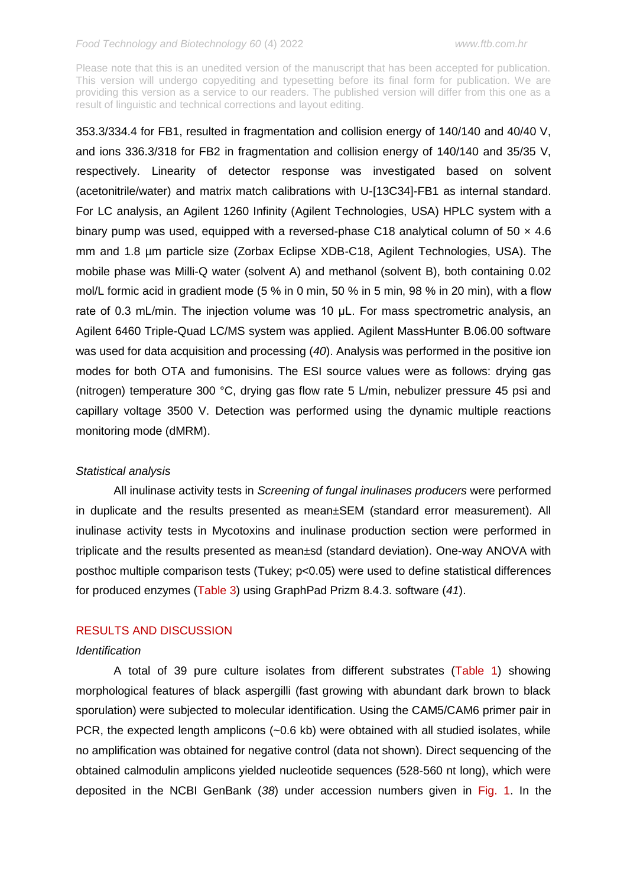Please note that this is an unedited version of the manuscript that has been accepted for publication. This version will undergo copyediting and typesetting before its final form for publication. We are providing this version as a service to our readers. The published version will differ from this one as a result of linguistic and technical corrections and layout editing.

353.3/334.4 for FB1, resulted in fragmentation and collision energy of 140/140 and 40/40 V, and ions 336.3/318 for FB2 in fragmentation and collision energy of 140/140 and 35/35 V, respectively. Linearity of detector response was investigated based on solvent (acetonitrile/water) and matrix match calibrations with U-[13C34]-FB1 as internal standard. For LC analysis, an Agilent 1260 Infinity (Agilent Technologies, USA) HPLC system with a binary pump was used, equipped with a reversed-phase C18 analytical column of  $50 \times 4.6$ mm and 1.8 µm particle size (Zorbax Eclipse XDB-C18, Agilent Technologies, USA). The mobile phase was Milli-Q water (solvent A) and methanol (solvent B), both containing 0.02 mol/L formic acid in gradient mode (5 % in 0 min, 50 % in 5 min, 98 % in 20 min), with a flow rate of 0.3 mL/min. The injection volume was 10 μL. For mass spectrometric analysis, an Agilent 6460 Triple-Quad LC/MS system was applied. Agilent MassHunter B.06.00 software was used for data acquisition and processing (*40*). Analysis was performed in the positive ion modes for both OTA and fumonisins. The ESI source values were as follows: drying gas (nitrogen) temperature 300 °C, drying gas flow rate 5 L/min, nebulizer pressure 45 psi and capillary voltage 3500 V. Detection was performed using the dynamic multiple reactions monitoring mode (dMRM).

#### *Statistical analysis*

All inulinase activity tests in *Screening of fungal inulinases producers* were performed in duplicate and the results presented as mean±SEM (standard error measurement). All inulinase activity tests in Mycotoxins and inulinase production section were performed in triplicate and the results presented as mean±sd (standard deviation). One-way ANOVA with posthoc multiple comparison tests (Tukey; p<0.05) were used to define statistical differences for produced enzymes (Table 3) using GraphPad Prizm 8.4.3. software (*41*).

# RESULTS AND DISCUSSION

#### *Identification*

A total of 39 pure culture isolates from different substrates (Table 1) showing morphological features of black aspergilli (fast growing with abundant dark brown to black sporulation) were subjected to molecular identification. Using the CAM5/CAM6 primer pair in PCR, the expected length amplicons (~0.6 kb) were obtained with all studied isolates, while no amplification was obtained for negative control (data not shown). Direct sequencing of the obtained calmodulin amplicons yielded nucleotide sequences (528-560 nt long), which were deposited in the NCBI GenBank (*38*) under accession numbers given in Fig. 1. In the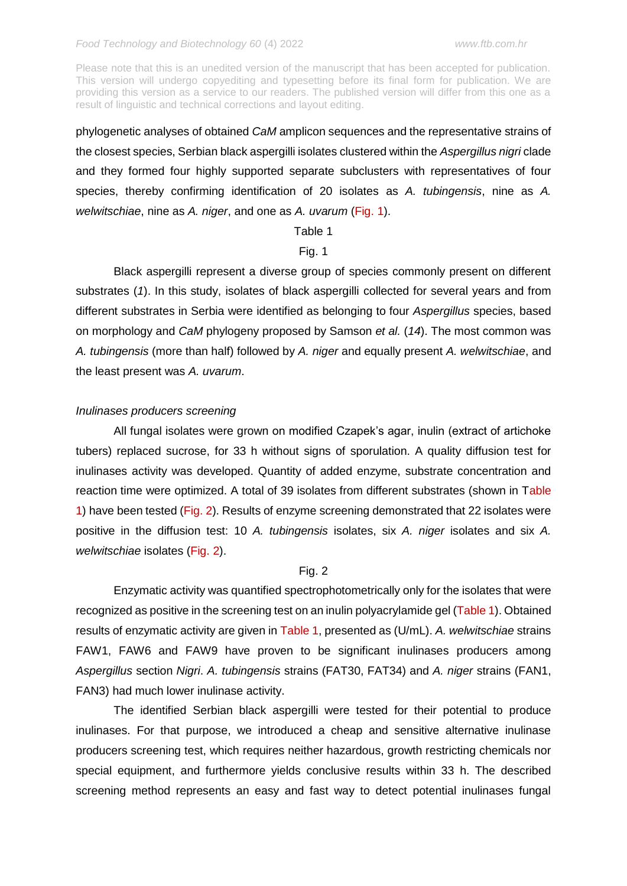phylogenetic analyses of obtained *CaM* amplicon sequences and the representative strains of the closest species, Serbian black aspergilli isolates clustered within the *Aspergillus nigri* clade and they formed four highly supported separate subclusters with representatives of four species, thereby confirming identification of 20 isolates as *A. tubingensis*, nine as *A. welwitschiae*, nine as *A. niger*, and one as *A. uvarum* (Fig. 1).

# Table 1

# Fig. 1

Black aspergilli represent a diverse group of species commonly present on different substrates (*1*). In this study, isolates of black aspergilli collected for several years and from different substrates in Serbia were identified as belonging to four *Aspergillus* species, based on morphology and *CaM* phylogeny proposed by Samson *et al.* (*14*). The most common was *A. tubingensis* (more than half) followed by *A. niger* and equally present *A. welwitschiae*, and the least present was *A. uvarum*.

# *Inulinases producers screening*

All fungal isolates were grown on modified Czapek's agar, inulin (extract of artichoke tubers) replaced sucrose, for 33 h without signs of sporulation. A quality diffusion test for inulinases activity was developed. Quantity of added enzyme, substrate concentration and reaction time were optimized. A total of 39 isolates from different substrates (shown in Table 1) have been tested (Fig. 2). Results of enzyme screening demonstrated that 22 isolates were positive in the diffusion test: 10 *A. tubingensis* isolates, six *A. niger* isolates and six *A. welwitschiae* isolates (Fig. 2).

# Fig. 2

Enzymatic activity was quantified spectrophotometrically only for the isolates that were recognized as positive in the screening test on an inulin polyacrylamide gel (Table 1). Obtained results of enzymatic activity are given in Table 1, presented as (U/mL). *A. welwitschiae* strains FAW1, FAW6 and FAW9 have proven to be significant inulinases producers among *Aspergillus* section *Nigri*. *A. tubingensis* strains (FAT30, FAT34) and *A. niger* strains (FAN1, FAN3) had much lower inulinase activity.

The identified Serbian black aspergilli were tested for their potential to produce inulinases. For that purpose, we introduced a cheap and sensitive alternative inulinase producers screening test, which requires neither hazardous, growth restricting chemicals nor special equipment, and furthermore yields conclusive results within 33 h. The described screening method represents an easy and fast way to detect potential inulinases fungal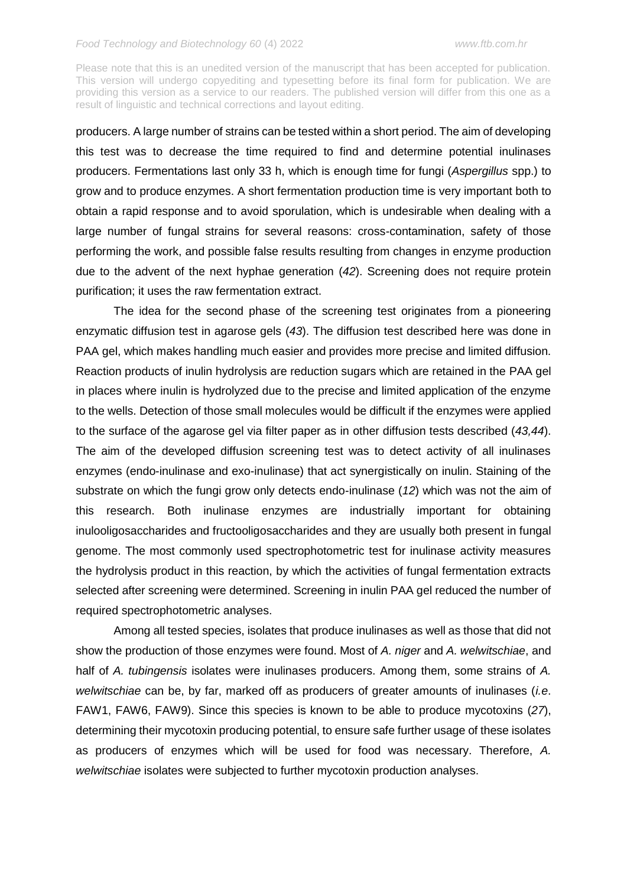Please note that this is an unedited version of the manuscript that has been accepted for publication. This version will undergo copyediting and typesetting before its final form for publication. We are providing this version as a service to our readers. The published version will differ from this one as a result of linguistic and technical corrections and layout editing.

producers. A large number of strains can be tested within a short period. The aim of developing this test was to decrease the time required to find and determine potential inulinases producers. Fermentations last only 33 h, which is enough time for fungi (*Aspergillus* spp.) to grow and to produce enzymes. A short fermentation production time is very important both to obtain a rapid response and to avoid sporulation, which is undesirable when dealing with a large number of fungal strains for several reasons: cross-contamination, safety of those performing the work, and possible false results resulting from changes in enzyme production due to the advent of the next hyphae generation (*42*). Screening does not require protein purification; it uses the raw fermentation extract.

The idea for the second phase of the screening test originates from a pioneering enzymatic diffusion test in agarose gels (*43*). The diffusion test described here was done in PAA gel, which makes handling much easier and provides more precise and limited diffusion. Reaction products of inulin hydrolysis are reduction sugars which are retained in the PAA gel in places where inulin is hydrolyzed due to the precise and limited application of the enzyme to the wells. Detection of those small molecules would be difficult if the enzymes were applied to the surface of the agarose gel via filter paper as in other diffusion tests described (*43,44*). The aim of the developed diffusion screening test was to detect activity of all inulinases enzymes (endo-inulinase and exo-inulinase) that act synergistically on inulin. Staining of the substrate on which the fungi grow only detects endo-inulinase (*12*) which was not the aim of this research. Both inulinase enzymes are industrially important for obtaining inulooligosaccharides and fructooligosaccharides and they are usually both present in fungal genome. The most commonly used spectrophotometric test for inulinase activity measures the hydrolysis product in this reaction, by which the activities of fungal fermentation extracts selected after screening were determined. Screening in inulin PAA gel reduced the number of required spectrophotometric analyses.

Among all tested species, isolates that produce inulinases as well as those that did not show the production of those enzymes were found. Most of *A. niger* and *A. welwitschiae*, and half of *A. tubingensis* isolates were inulinases producers. Among them, some strains of *A. welwitschiae* can be, by far, marked off as producers of greater amounts of inulinases (*i.e*. FAW1, FAW6, FAW9). Since this species is known to be able to produce mycotoxins (*27*), determining their mycotoxin producing potential, to ensure safe further usage of these isolates as producers of enzymes which will be used for food was necessary. Therefore, *A. welwitschiae* isolates were subjected to further mycotoxin production analyses.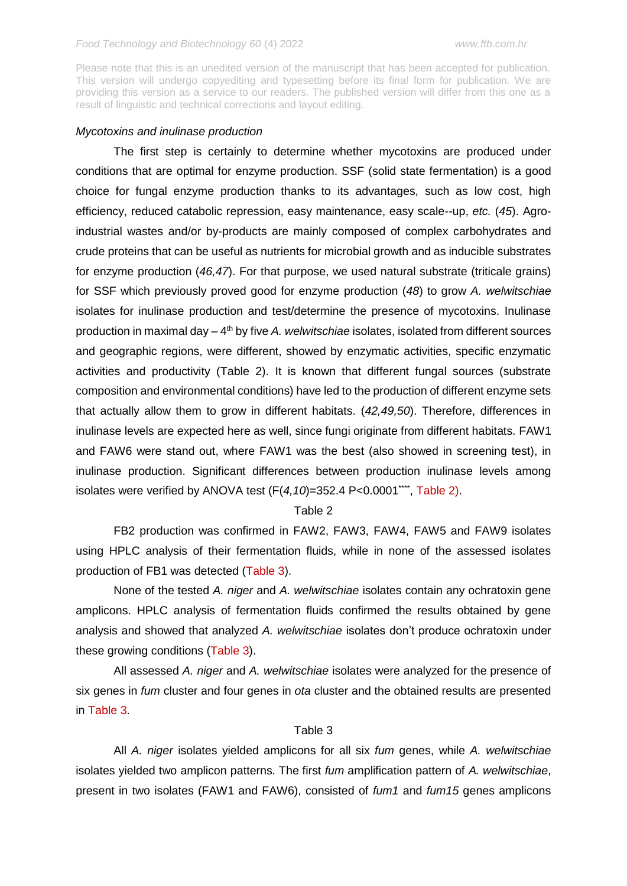### *Mycotoxins and inulinase production*

The first step is certainly to determine whether mycotoxins are produced under conditions that are optimal for enzyme production. SSF (solid state fermentation) is a good choice for fungal enzyme production thanks to its advantages, such as low cost, high efficiency, reduced catabolic repression, easy maintenance, easy scale--up, *etc.* (*45*). Agroindustrial wastes and/or by-products are mainly composed of complex carbohydrates and crude proteins that can be useful as nutrients for microbial growth and as inducible substrates for enzyme production (*46,47*). For that purpose, we used natural substrate (triticale grains) for SSF which previously proved good for enzyme production (*48*) to grow *A. welwitschiae*  isolates for inulinase production and test/determine the presence of mycotoxins. Inulinase production in maximal day – 4<sup>th</sup> by five *A. welwitschiae* isolates, isolated from different sources and geographic regions, were different, showed by enzymatic activities, specific enzymatic activities and productivity (Table 2). It is known that different fungal sources (substrate composition and environmental conditions) have led to the production of different enzyme sets that actually allow them to grow in different habitats. (*42,49,50*). Therefore, differences in inulinase levels are expected here as well, since fungi originate from different habitats. FAW1 and FAW6 were stand out, where FAW1 was the best (also showed in screening test), in inulinase production. Significant differences between production inulinase levels among isolates were verified by ANOVA test  $(F(4, 10)=352.4 \text{ P}<0.0001^{\dots}$ , Table 2).

#### Table 2

FB2 production was confirmed in FAW2, FAW3, FAW4, FAW5 and FAW9 isolates using HPLC analysis of their fermentation fluids, while in none of the assessed isolates production of FB1 was detected (Table 3).

None of the tested *A. niger* and *A. welwitschiae* isolates contain any ochratoxin gene amplicons. HPLC analysis of fermentation fluids confirmed the results obtained by gene analysis and showed that analyzed *A. welwitschiae* isolates don't produce ochratoxin under these growing conditions (Table 3).

All assessed *A. niger* and *A. welwitschiae* isolates were analyzed for the presence of six genes in *fum* cluster and four genes in *ota* cluster and the obtained results are presented in Table 3.

# Table 3

All *A. niger* isolates yielded amplicons for all six *fum* genes, while *A. welwitschiae* isolates yielded two amplicon patterns. The first *fum* amplification pattern of *A. welwitschiae*, present in two isolates (FAW1 and FAW6), consisted of *fum1* and *fum15* genes amplicons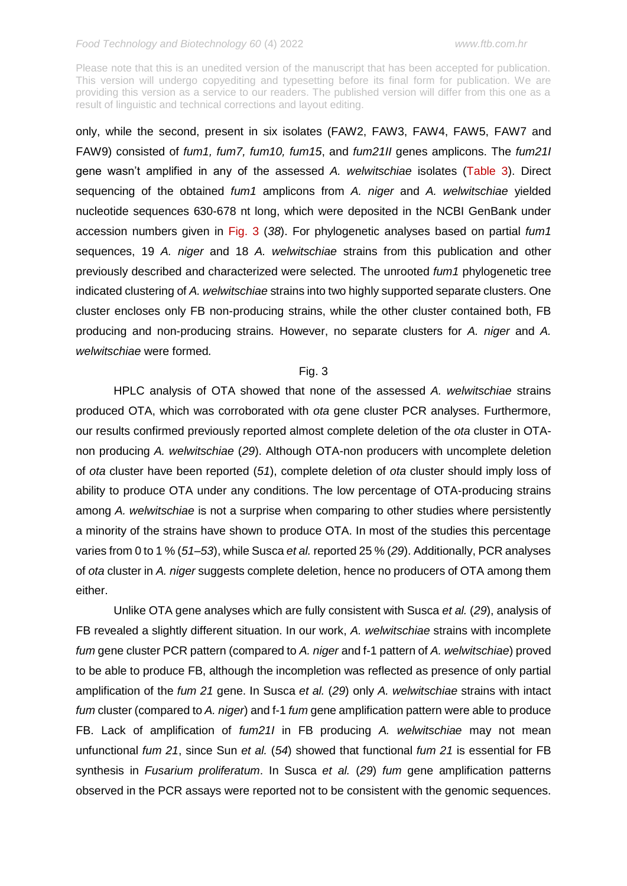Please note that this is an unedited version of the manuscript that has been accepted for publication. This version will undergo copyediting and typesetting before its final form for publication. We are providing this version as a service to our readers. The published version will differ from this one as a result of linguistic and technical corrections and layout editing.

only, while the second, present in six isolates (FAW2, FAW3, FAW4, FAW5, FAW7 and FAW9) consisted of *fum1, fum7, fum10, fum15*, and *fum21II* genes amplicons. The *fum21I* gene wasn't amplified in any of the assessed *A. welwitschiae* isolates (Table 3). Direct sequencing of the obtained *fum1* amplicons from *A. niger* and *A. welwitschiae* yielded nucleotide sequences 630-678 nt long, which were deposited in the NCBI GenBank under accession numbers given in Fig. 3 (*38*). For phylogenetic analyses based on partial *fum1*  sequences, 19 *A. niger* and 18 *A. welwitschiae* strains from this publication and other previously described and characterized were selected*.* The unrooted *fum1* phylogenetic tree indicated clustering of *A. welwitschiae* strains into two highly supported separate clusters. One cluster encloses only FB non-producing strains, while the other cluster contained both, FB producing and non-producing strains. However, no separate clusters for *A. niger* and *A. welwitschiae* were formed*.*

#### Fig. 3

HPLC analysis of OTA showed that none of the assessed *A. welwitschiae* strains produced OTA, which was corroborated with *ota* gene cluster PCR analyses. Furthermore, our results confirmed previously reported almost complete deletion of the *ota* cluster in OTAnon producing *A. welwitschiae* (*29*). Although OTA-non producers with uncomplete deletion of *ota* cluster have been reported (*51*), complete deletion of *ota* cluster should imply loss of ability to produce OTA under any conditions. The low percentage of OTA-producing strains among *A. welwitschiae* is not a surprise when comparing to other studies where persistently a minority of the strains have shown to produce OTA. In most of the studies this percentage varies from 0 to 1 % (*51–53*), while Susca *et al.* reported 25 % (*29*). Additionally, PCR analyses of *ota* cluster in *A. niger* suggests complete deletion, hence no producers of OTA among them either.

Unlike OTA gene analyses which are fully consistent with Susca *et al.* (*29*), analysis of FB revealed a slightly different situation. In our work, *A. welwitschiae* strains with incomplete *fum* gene cluster PCR pattern (compared to *A. niger* and f-1 pattern of *A. welwitschiae*) proved to be able to produce FB, although the incompletion was reflected as presence of only partial amplification of the *fum 21* gene. In Susca *et al.* (*29*) only *A. welwitschiae* strains with intact *fum* cluster (compared to *A. niger*) and f-1 *fum* gene amplification pattern were able to produce FB. Lack of amplification of *fum21I* in FB producing *A. welwitschiae* may not mean unfunctional *fum 21*, since Sun *et al.* (*54*) showed that functional *fum 21* is essential for FB synthesis in *Fusarium proliferatum*. In Susca *et al.* (*29*) *fum* gene amplification patterns observed in the PCR assays were reported not to be consistent with the genomic sequences.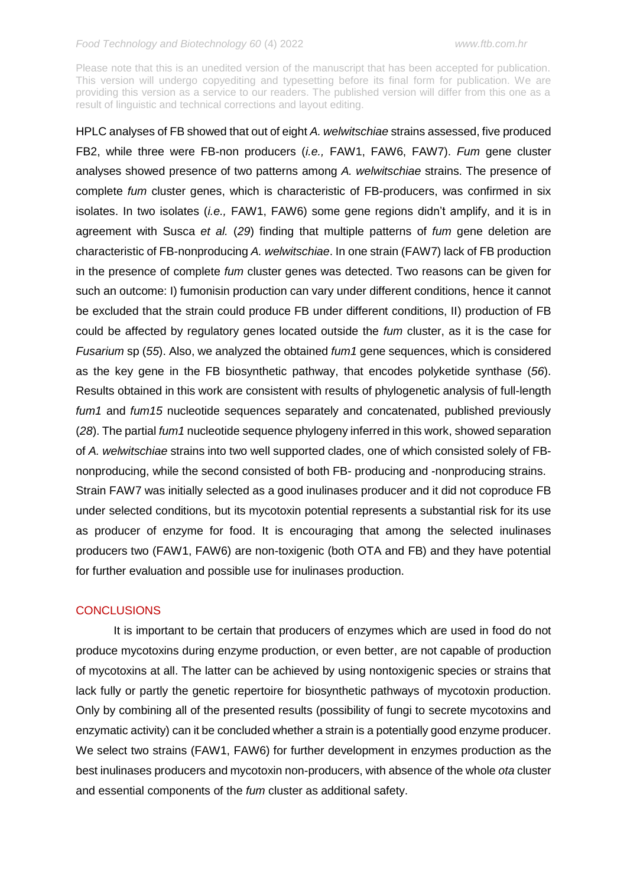Please note that this is an unedited version of the manuscript that has been accepted for publication. This version will undergo copyediting and typesetting before its final form for publication. We are providing this version as a service to our readers. The published version will differ from this one as a result of linguistic and technical corrections and layout editing.

HPLC analyses of FB showed that out of eight *A. welwitschiae* strains assessed, five produced FB2, while three were FB-non producers (*i.e.,* FAW1, FAW6, FAW7). *Fum* gene cluster analyses showed presence of two patterns among *A. welwitschiae* strains. The presence of complete *fum* cluster genes, which is characteristic of FB-producers, was confirmed in six isolates. In two isolates (*i.e.,* FAW1, FAW6) some gene regions didn't amplify, and it is in agreement with Susca *et al.* (*29*) finding that multiple patterns of *fum* gene deletion are characteristic of FB-nonproducing *A. welwitschiae*. In one strain (FAW7) lack of FB production in the presence of complete *fum* cluster genes was detected. Two reasons can be given for such an outcome: I) fumonisin production can vary under different conditions, hence it cannot be excluded that the strain could produce FB under different conditions, II) production of FB could be affected by regulatory genes located outside the *fum* cluster, as it is the case for *Fusarium* sp (*55*). Also, we analyzed the obtained *fum1* gene sequences, which is considered as the key gene in the FB biosynthetic pathway, that encodes polyketide synthase (*56*). Results obtained in this work are consistent with results of phylogenetic analysis of full-length *fum1* and *fum15* nucleotide sequences separately and concatenated, published previously (*28*). The partial *fum1* nucleotide sequence phylogeny inferred in this work, showed separation of *A. welwitschiae* strains into two well supported clades, one of which consisted solely of FBnonproducing, while the second consisted of both FB- producing and -nonproducing strains. Strain FAW7 was initially selected as a good inulinases producer and it did not coproduce FB under selected conditions, but its mycotoxin potential represents a substantial risk for its use as producer of enzyme for food. It is encouraging that among the selected inulinases producers two (FAW1, FAW6) are non-toxigenic (both OTA and FB) and they have potential for further evaluation and possible use for inulinases production.

# **CONCLUSIONS**

It is important to be certain that producers of enzymes which are used in food do not produce mycotoxins during enzyme production, or even better, are not capable of production of mycotoxins at all. The latter can be achieved by using nontoxigenic species or strains that lack fully or partly the genetic repertoire for biosynthetic pathways of mycotoxin production. Only by combining all of the presented results (possibility of fungi to secrete mycotoxins and enzymatic activity) can it be concluded whether a strain is a potentially good enzyme producer. We select two strains (FAW1, FAW6) for further development in enzymes production as the best inulinases producers and mycotoxin non-producers, with absence of the whole *ota* cluster and essential components of the *fum* cluster as additional safety.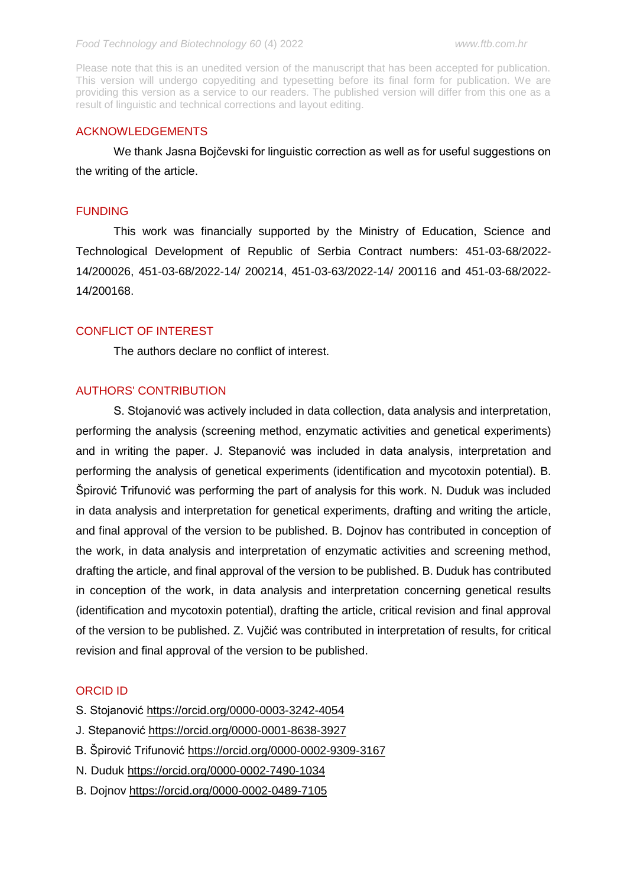Please note that this is an unedited version of the manuscript that has been accepted for publication. This version will undergo copyediting and typesetting before its final form for publication. We are providing this version as a service to our readers. The published version will differ from this one as a result of linguistic and technical corrections and layout editing.

### ACKNOWLEDGEMENTS

We thank Jasna Bojčevski for linguistic correction as well as for useful suggestions on the writing of the article.

#### **FUNDING**

This work was financially supported by the Ministry of Education, Science and Technological Development of Republic of Serbia Contract numbers: 451-03-68/2022- 14/200026, 451-03-68/2022-14/ 200214, 451-03-63/2022-14/ 200116 and 451-03-68/2022- 14/200168.

# CONFLICT OF INTEREST

The authors declare no conflict of interest.

# AUTHORS' CONTRIBUTION

S. Stojanović was actively included in data collection, data analysis and interpretation, performing the analysis (screening method, enzymatic activities and genetical experiments) and in writing the paper. J. Stepanović was included in data analysis, interpretation and performing the analysis of genetical experiments (identification and mycotoxin potential). B. Špirović Trifunović was performing the part of analysis for this work. N. Duduk was included in data analysis and interpretation for genetical experiments, drafting and writing the article, and final approval of the version to be published. B. Dojnov has contributed in conception of the work, in data analysis and interpretation of enzymatic activities and screening method, drafting the article, and final approval of the version to be published. B. Duduk has contributed in conception of the work, in data analysis and interpretation concerning genetical results (identification and mycotoxin potential), drafting the article, critical revision and final approval of the version to be published. Z. Vujčić was contributed in interpretation of results, for critical revision and final approval of the version to be published.

### ORCID ID

- S. Stojanović <https://orcid.org/0000-0003-3242-4054>
- J. Stepanović<https://orcid.org/0000-0001-8638-3927>
- B. Špirović Trifunović<https://orcid.org/0000-0002-9309-3167>
- N. Duduk<https://orcid.org/0000-0002-7490-1034>
- B. Dojnov<https://orcid.org/0000-0002-0489-7105>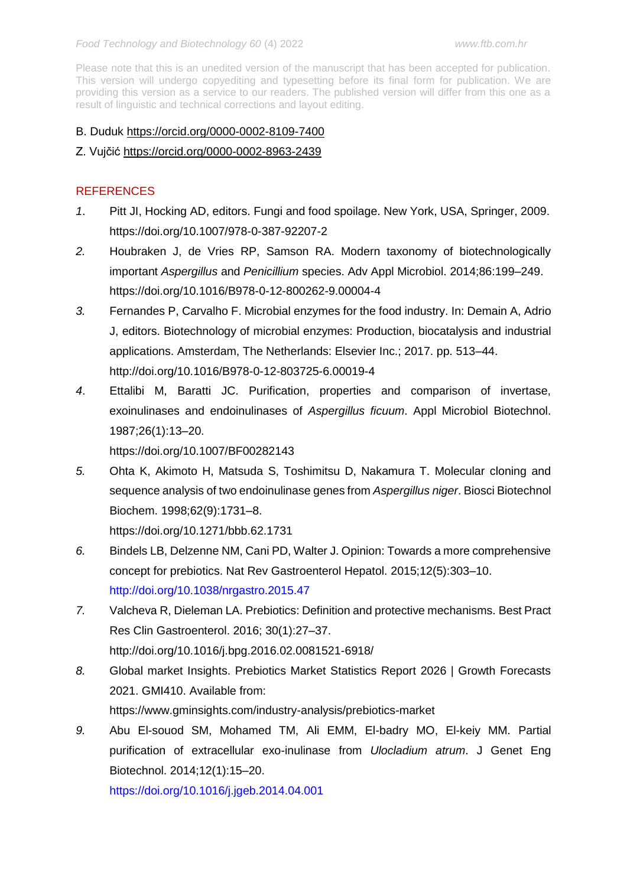Please note that this is an unedited version of the manuscript that has been accepted for publication. This version will undergo copyediting and typesetting before its final form for publication. We are providing this version as a service to our readers. The published version will differ from this one as a result of linguistic and technical corrections and layout editing.

# B. Duduk<https://orcid.org/0000-0002-8109-7400>

# Z. Vujčić<https://orcid.org/0000-0002-8963-2439>

# REFERENCES

- *1*. Pitt JI, Hocking AD, editors. Fungi and food spoilage. New York, USA, Springer, 2009. <https://doi.org/10.1007/978-0-387-92207-2>
- *2.* Houbraken J, de Vries RP, Samson RA. Modern taxonomy of biotechnologically important *Aspergillus* and *Penicillium* species. Adv Appl Microbiol. 2014;86:199–249. <https://doi.org/10.1016/B978-0-12-800262-9.00004-4>
- *3.* Fernandes P, Carvalho F. Microbial enzymes for the food industry. In: Demain A, Adrio J, editors. Biotechnology of microbial enzymes: Production, biocatalysis and industrial applications. Amsterdam, The Netherlands: Elsevier Inc.; 2017. pp. 513–44. <http://doi.org/10.1016/B978-0-12-803725-6.00019-4>
- *4*. Ettalibi M, Baratti JC. Purification, properties and comparison of invertase, exoinulinases and endoinulinases of *Aspergillus ficuum*. Appl Microbiol Biotechnol. 1987;26(1):13–20.

<https://doi.org/10.1007/BF00282143>

*5.* Ohta K, Akimoto H, Matsuda S, Toshimitsu D, Nakamura T. Molecular cloning and sequence analysis of two endoinulinase genes from *Aspergillus niger*. Biosci Biotechnol Biochem. 1998;62(9):1731–8.

<https://doi.org/10.1271/bbb.62.1731>

- *6.* Bindels LB, Delzenne NM, Cani PD, Walter J. Opinion: Towards a more comprehensive concept for prebiotics. Nat Rev Gastroenterol Hepatol. 2015;12(5):303–10. <http://doi.org/10.1038/nrgastro.2015.47>
- *7.* Valcheva R, Dieleman LA. Prebiotics: Definition and protective mechanisms. Best Pract Res Clin Gastroenterol. 2016; 30(1):27–37. <http://doi.org/10.1016/j.bpg.2016.02.0081521-6918/>
- *8.* Global market Insights. Prebiotics Market Statistics Report 2026 | Growth Forecasts 2021. GMI410. Available from: <https://www.gminsights.com/industry-analysis/prebiotics-market>
- *9.* Abu El-souod SM, Mohamed TM, Ali EMM, El-badry MO, El-keiy MM. Partial purification of extracellular exo-inulinase from *Ulocladium atrum*. J Genet Eng Biotechnol. 2014;12(1):15–20.

<https://doi.org/10.1016/j.jgeb.2014.04.001>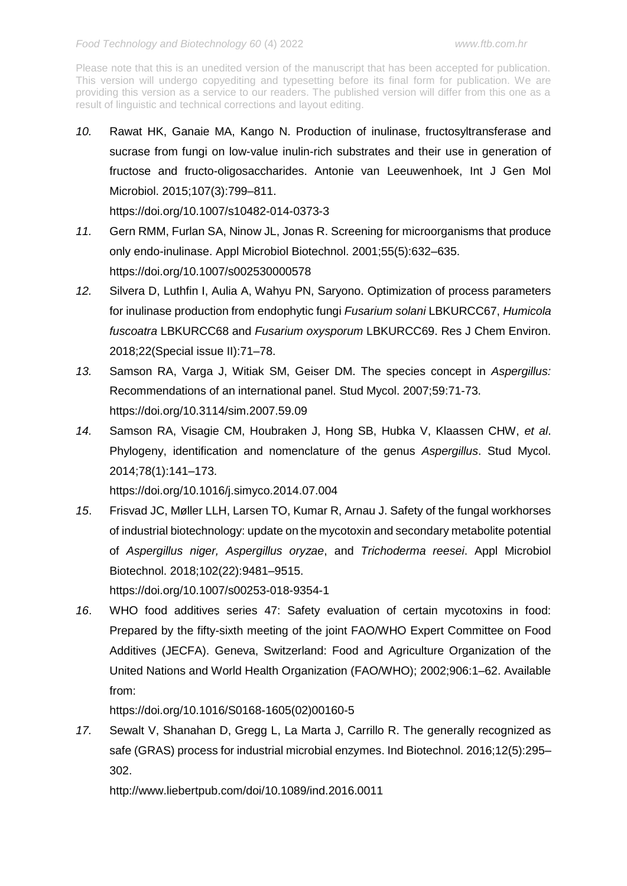*10.* Rawat HK, Ganaie MA, Kango N. Production of inulinase, fructosyltransferase and sucrase from fungi on low-value inulin-rich substrates and their use in generation of fructose and fructo-oligosaccharides. Antonie van Leeuwenhoek, Int J Gen Mol Microbiol. 2015;107(3):799–811.

<https://doi.org/10.1007/s10482-014-0373-3>

- *11.* Gern RMM, Furlan SA, Ninow JL, Jonas R. Screening for microorganisms that produce only endo-inulinase. Appl Microbiol Biotechnol. 2001;55(5):632–635. <https://doi.org/10.1007/s002530000578>
- *12.* Silvera D, Luthfin I, Aulia A, Wahyu PN, Saryono. Optimization of process parameters for inulinase production from endophytic fungi *Fusarium solani* LBKURCC67, *Humicola fuscoatra* LBKURCC68 and *Fusarium oxysporum* LBKURCC69. Res J Chem Environ. 2018;22(Special issue II):71–78.
- *13.* Samson RA, Varga J, Witiak SM, Geiser DM. The species concept in *Aspergillus:* Recommendations of an international panel. Stud Mycol. 2007;59:71-73. <https://doi.org/10.3114/sim.2007.59.09>
- *14.* Samson RA, Visagie CM, Houbraken J, Hong SB, Hubka V, Klaassen CHW, *et al*. Phylogeny, identification and nomenclature of the genus *Aspergillus*. Stud Mycol. 2014;78(1):141–173.

<https://doi.org/10.1016/j.simyco.2014.07.004>

*15*. Frisvad JC, Møller LLH, Larsen TO, Kumar R, Arnau J. Safety of the fungal workhorses of industrial biotechnology: update on the mycotoxin and secondary metabolite potential of *Aspergillus niger, Aspergillus oryzae*, and *Trichoderma reesei*. Appl Microbiol Biotechnol. 2018;102(22):9481–9515.

<https://doi.org/10.1007/s00253-018-9354-1>

*16*. WHO food additives series 47: Safety evaluation of certain mycotoxins in food: Prepared by the fifty-sixth meeting of the joint FAO/WHO Expert Committee on Food Additives (JECFA). Geneva, Switzerland: Food and Agriculture Organization of the United Nations and World Health Organization (FAO/WHO); 2002;906:1–62. Available from:

[https://doi.org/10.1016/S0168-1605\(02\)00160-5](https://doi.org/10.1016/S0168-1605(02)00160-5)

*17.* Sewalt V, Shanahan D, Gregg L, La Marta J, Carrillo R. The generally recognized as safe (GRAS) process for industrial microbial enzymes. Ind Biotechnol. 2016;12(5):295– 302.

<http://www.liebertpub.com/doi/10.1089/ind.2016.0011>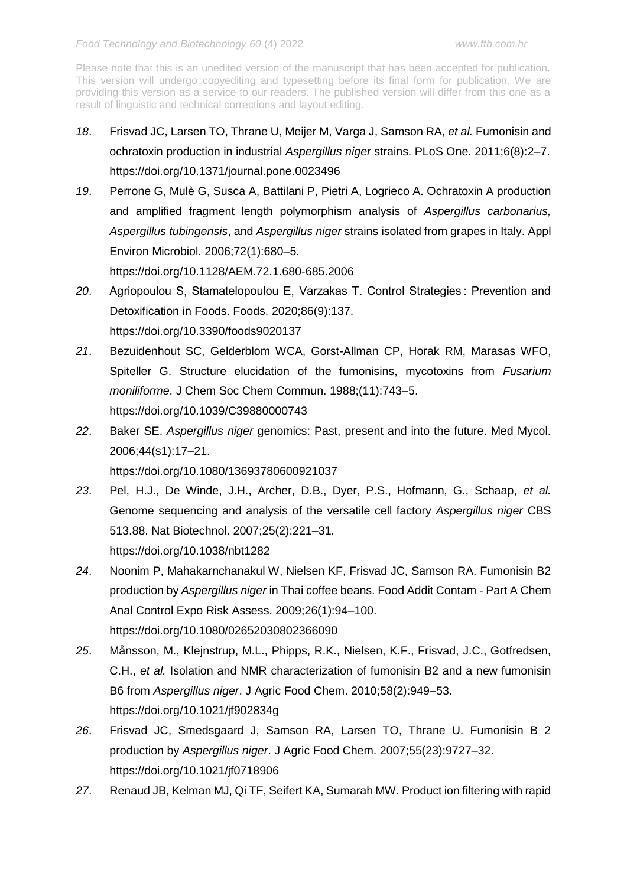- *18*. Frisvad JC, Larsen TO, Thrane U, Meijer M, Varga J, Samson RA, *et al.* Fumonisin and ochratoxin production in industrial *Aspergillus niger* strains. PLoS One. 2011;6(8):2–7. <https://doi.org/10.1371/journal.pone.0023496>
- *19*. Perrone G, Mulè G, Susca A, Battilani P, Pietri A, Logrieco A. Ochratoxin A production and amplified fragment length polymorphism analysis of *Aspergillus carbonarius, Aspergillus tubingensis*, and *Aspergillus niger* strains isolated from grapes in Italy. Appl Environ Microbiol. 2006;72(1):680–5.

<https://doi.org/10.1128/AEM.72.1.680-685.2006>

- *20*. Agriopoulou S, Stamatelopoulou E, Varzakas T. Control Strategies : Prevention and Detoxification in Foods. Foods. 2020;86(9):137. <https://doi.org/10.3390/foods9020137>
- *21*. Bezuidenhout SC, Gelderblom WCA, Gorst-Allman CP, Horak RM, Marasas WFO, Spiteller G. Structure elucidation of the fumonisins, mycotoxins from *Fusarium moniliforme*. J Chem Soc Chem Commun. 1988;(11):743–5. <https://doi.org/10.1039/C39880000743>
- *22*. Baker SE. *Aspergillus niger* genomics: Past, present and into the future. Med Mycol. 2006;44(s1):17–21.

<https://doi.org/10.1080/13693780600921037>

- *23*. Pel, H.J., De Winde, J.H., Archer, D.B., Dyer, P.S., Hofmann, G., Schaap, *et al.* Genome sequencing and analysis of the versatile cell factory *Aspergillus niger* CBS 513.88. Nat Biotechnol. 2007;25(2):221–31. <https://doi.org/10.1038/nbt1282>
- *24*. Noonim P, Mahakarnchanakul W, Nielsen KF, Frisvad JC, Samson RA. Fumonisin B2 production by *Aspergillus niger* in Thai coffee beans. Food Addit Contam - Part A Chem Anal Control Expo Risk Assess. 2009;26(1):94–100. <https://doi.org/10.1080/02652030802366090>
- *25*. Månsson, M., Klejnstrup, M.L., Phipps, R.K., Nielsen, K.F., Frisvad, J.C., Gotfredsen, C.H., *et al.* Isolation and NMR characterization of fumonisin B2 and a new fumonisin B6 from *Aspergillus niger*. J Agric Food Chem. 2010;58(2):949–53. <https://doi.org/10.1021/jf902834g>
- *26*. Frisvad JC, Smedsgaard J, Samson RA, Larsen TO, Thrane U. Fumonisin B 2 production by *Aspergillus niger*. J Agric Food Chem. 2007;55(23):9727–32. <https://doi.org/10.1021/jf0718906>
- *27*. Renaud JB, Kelman MJ, Qi TF, Seifert KA, Sumarah MW. Product ion filtering with rapid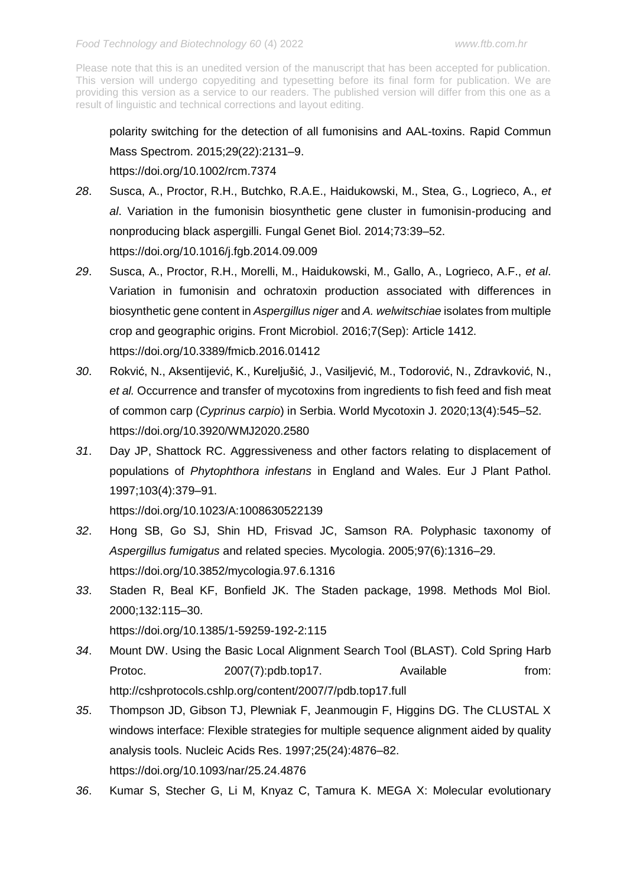polarity switching for the detection of all fumonisins and AAL-toxins. Rapid Commun Mass Spectrom. 2015;29(22):2131–9.

<https://doi.org/10.1002/rcm.7374>

- *28*. Susca, A., Proctor, R.H., Butchko, R.A.E., Haidukowski, M., Stea, G., Logrieco, A., *et al*. Variation in the fumonisin biosynthetic gene cluster in fumonisin-producing and nonproducing black aspergilli. Fungal Genet Biol. 2014;73:39–52. <https://doi.org/10.1016/j.fgb.2014.09.009>
- *29*. Susca, A., Proctor, R.H., Morelli, M., Haidukowski, M., Gallo, A., Logrieco, A.F., *et al*. Variation in fumonisin and ochratoxin production associated with differences in biosynthetic gene content in *Aspergillus niger* and *A. welwitschiae* isolates from multiple crop and geographic origins. Front Microbiol. 2016;7(Sep): Article 1412. <https://doi.org/10.3389/fmicb.2016.01412>
- *30*. Rokvić, N., Aksentijević, K., Kureljušić, J., Vasiljević, M., Todorović, N., Zdravković, N., *et al.* Occurrence and transfer of mycotoxins from ingredients to fish feed and fish meat of common carp (*Cyprinus carpio*) in Serbia. World Mycotoxin J. 2020;13(4):545–52. <https://doi.org/10.3920/WMJ2020.2580>
- *31*. Day JP, Shattock RC. Aggressiveness and other factors relating to displacement of populations of *Phytophthora infestans* in England and Wales. Eur J Plant Pathol. 1997;103(4):379–91.

<https://doi.org/10.1023/A:1008630522139>

- *32*. Hong SB, Go SJ, Shin HD, Frisvad JC, Samson RA. Polyphasic taxonomy of *Aspergillus fumigatus* and related species. Mycologia. 2005;97(6):1316–29. <https://doi.org/10.3852/mycologia.97.6.1316>
- *33*. Staden R, Beal KF, Bonfield JK. The Staden package, 1998. Methods Mol Biol. 2000;132:115–30.

<https://doi.org/10.1385/1-59259-192-2:115>

- *34*. Mount DW. Using the Basic Local Alignment Search Tool (BLAST). Cold Spring Harb Protoc. 2007(7):pdb.top17. Available from: http://cshprotocols.cshlp.org/content/2007/7/pdb.top17.full
- *35*. Thompson JD, Gibson TJ, Plewniak F, Jeanmougin F, Higgins DG. The CLUSTAL X windows interface: Flexible strategies for multiple sequence alignment aided by quality analysis tools. Nucleic Acids Res. 1997;25(24):4876–82. <https://doi.org/10.1093/nar/25.24.4876>
- *36*. Kumar S, Stecher G, Li M, Knyaz C, Tamura K. MEGA X: Molecular evolutionary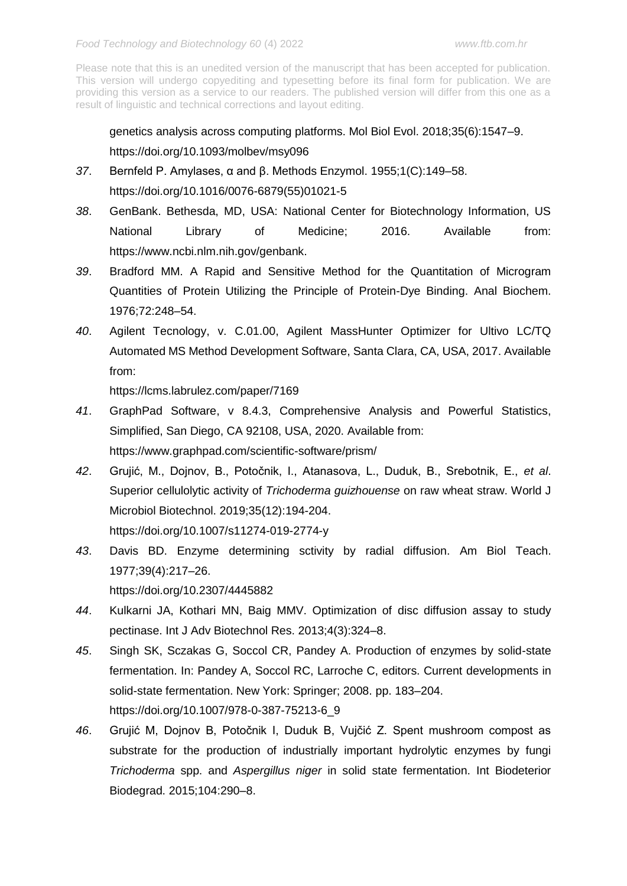genetics analysis across computing platforms. Mol Biol Evol. 2018;35(6):1547–9. <https://doi.org/10.1093/molbev/msy096>

- *37*. Bernfeld P. Amylases, α and β. Methods Enzymol. 1955;1(C):149–58. [https://doi.org/10.1016/0076-6879\(55\)01021-5](https://doi.org/10.1016/0076-6879(55)01021-5)
- *38*. GenBank. Bethesda, MD, USA: National Center for Biotechnology Information, US National Library of Medicine; 2016. Available from: [https://www.ncbi.nlm.nih.gov/genbank.](https://www.ncbi.nlm.nih.gov/genbank)
- *39*. Bradford MM. A Rapid and Sensitive Method for the Quantitation of Microgram Quantities of Protein Utilizing the Principle of Protein-Dye Binding. Anal Biochem. 1976;72:248–54.
- *40*. Agilent Tecnology, v. C.01.00, Agilent MassHunter Optimizer for Ultivo LC/TQ Automated MS Method Development Software, Santa Clara, CA, USA, 2017. Available from:

<https://lcms.labrulez.com/paper/7169>

- *41*. GraphPad Software, v 8.4.3, Comprehensive Analysis and Powerful Statistics, Simplified, San Diego, CA 92108, USA, 2020. Available from: <https://www.graphpad.com/scientific-software/prism/>
- *42*. Grujić, M., Dojnov, B., Potočnik, I., Atanasova, L., Duduk, B., Srebotnik, E., *et al*. Superior cellulolytic activity of *Trichoderma guizhouense* on raw wheat straw. World J Microbiol Biotechnol. 2019;35(12):194-204. <https://doi.org/10.1007/s11274-019-2774-y>
- *43*. Davis BD. Enzyme determining sctivity by radial diffusion. Am Biol Teach. 1977;39(4):217–26.
	- <https://doi.org/10.2307/4445882>
- *44*. Kulkarni JA, Kothari MN, Baig MMV. Optimization of disc diffusion assay to study pectinase. Int J Adv Biotechnol Res. 2013;4(3):324–8.
- *45*. Singh SK, Sczakas G, Soccol CR, Pandey A. Production of enzymes by solid-state fermentation. In: Pandey A, Soccol RC, Larroche C, editors. Current developments in solid-state fermentation. New York: Springer; 2008. pp. 183–204. [https://doi.org/10.1007/978-0-387-75213-6\\_9](https://doi.org/10.1007/978-0-387-75213-6_9)
- *46*. Grujić M, Dojnov B, Potočnik I, Duduk B, Vujčić Z. Spent mushroom compost as substrate for the production of industrially important hydrolytic enzymes by fungi *Trichoderma* spp. and *Aspergillus niger* in solid state fermentation. Int Biodeterior Biodegrad. 2015;104:290–8.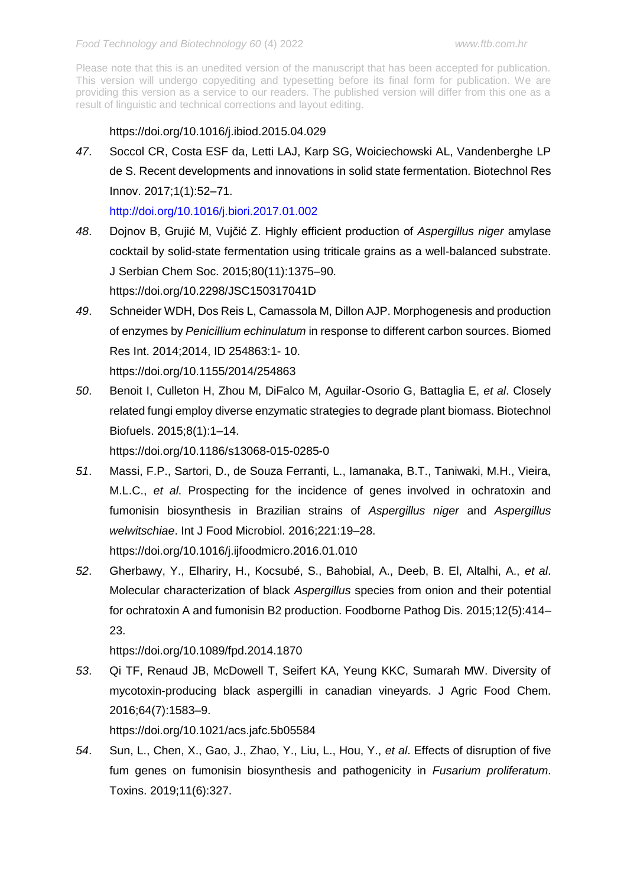# <https://doi.org/10.1016/j.ibiod.2015.04.029>

*47*. Soccol CR, Costa ESF da, Letti LAJ, Karp SG, Woiciechowski AL, Vandenberghe LP de S. Recent developments and innovations in solid state fermentation. Biotechnol Res Innov. 2017;1(1):52–71.

<http://doi.org/10.1016/j.biori.2017.01.002>

*48*. Dojnov B, Grujić M, Vujčić Z. Highly efficient production of *Aspergillus niger* amylase cocktail by solid-state fermentation using triticale grains as a well-balanced substrate. J Serbian Chem Soc. 2015;80(11):1375–90.

<https://doi.org/10.2298/JSC150317041D>

- *49*. Schneider WDH, Dos Reis L, Camassola M, Dillon AJP. Morphogenesis and production of enzymes by *Penicillium echinulatum* in response to different carbon sources. Biomed Res Int. 2014;2014, ID 254863:1- 10. <https://doi.org/10.1155/2014/254863>
- *50*. Benoit I, Culleton H, Zhou M, DiFalco M, Aguilar-Osorio G, Battaglia E, *et al*. Closely related fungi employ diverse enzymatic strategies to degrade plant biomass. Biotechnol Biofuels. 2015;8(1):1–14.

<https://doi.org/10.1186/s13068-015-0285-0>

*51*. Massi, F.P., Sartori, D., de Souza Ferranti, L., Iamanaka, B.T., Taniwaki, M.H., Vieira, M.L.C., *et al*. Prospecting for the incidence of genes involved in ochratoxin and fumonisin biosynthesis in Brazilian strains of *Aspergillus niger* and *Aspergillus welwitschiae*. Int J Food Microbiol. 2016;221:19–28.

<https://doi.org/10.1016/j.ijfoodmicro.2016.01.010>

*52*. Gherbawy, Y., Elhariry, H., Kocsubé, S., Bahobial, A., Deeb, B. El, Altalhi, A., *et al*. Molecular characterization of black *Aspergillus* species from onion and their potential for ochratoxin A and fumonisin B2 production. Foodborne Pathog Dis. 2015;12(5):414– 23.

<https://doi.org/10.1089/fpd.2014.1870>

*53*. Qi TF, Renaud JB, McDowell T, Seifert KA, Yeung KKC, Sumarah MW. Diversity of mycotoxin-producing black aspergilli in canadian vineyards. J Agric Food Chem. 2016;64(7):1583–9.

<https://doi.org/10.1021/acs.jafc.5b05584>

*54*. Sun, L., Chen, X., Gao, J., Zhao, Y., Liu, L., Hou, Y., *et al*. Effects of disruption of five fum genes on fumonisin biosynthesis and pathogenicity in *Fusarium proliferatum*. Toxins. 2019;11(6):327.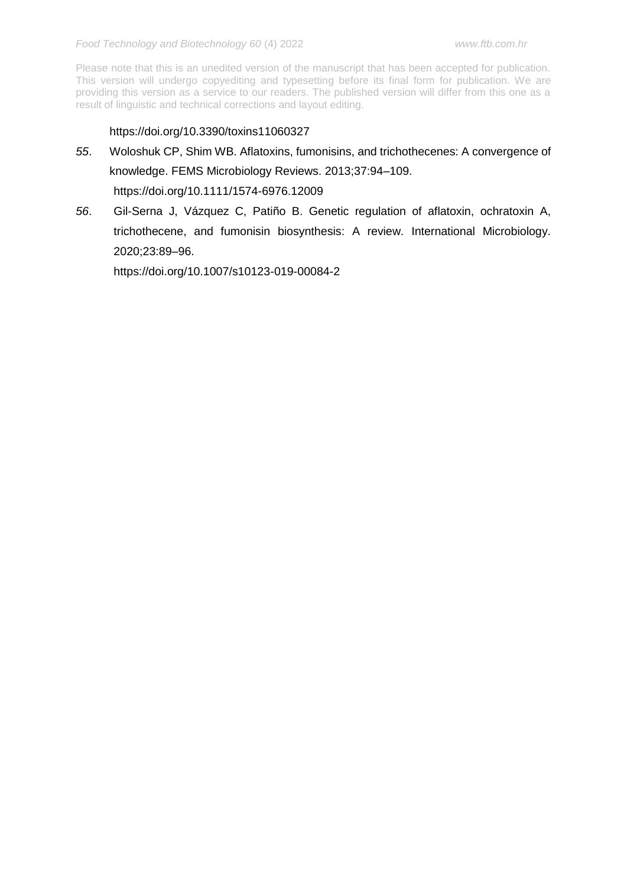# <https://doi.org/10.3390/toxins11060327>

- *55*. Woloshuk CP, Shim WB. Aflatoxins, fumonisins, and trichothecenes: A convergence of knowledge. FEMS Microbiology Reviews. 2013;37:94–109. <https://doi.org/10.1111/1574-6976.12009>
- *56*. Gil-Serna J, Vázquez C, Patiño B. Genetic regulation of aflatoxin, ochratoxin A, trichothecene, and fumonisin biosynthesis: A review. International Microbiology. 2020;23:89–96.

<https://doi.org/10.1007/s10123-019-00084-2>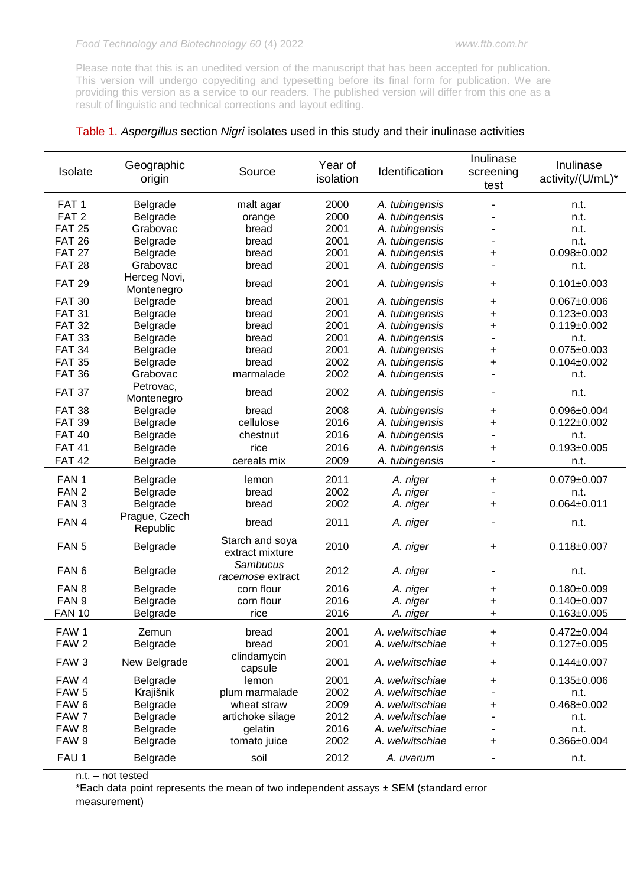|  |  | Table 1. Aspergillus section Nigri isolates used in this study and their inulinase activities |  |  |  |  |
|--|--|-----------------------------------------------------------------------------------------------|--|--|--|--|
|--|--|-----------------------------------------------------------------------------------------------|--|--|--|--|

| Year of<br>Geographic<br>Identification<br>Isolate<br>Source<br>isolation<br>origin    | Inulinase<br>screening<br>test | Inulinase<br>activity/(U/mL)* |
|----------------------------------------------------------------------------------------|--------------------------------|-------------------------------|
| 2000<br>FAT <sub>1</sub><br>Belgrade<br>malt agar<br>A. tubingensis                    |                                | n.t.                          |
| FAT <sub>2</sub><br>2000<br>Belgrade<br>A. tubingensis<br>orange                       |                                | n.t.                          |
| <b>FAT 25</b><br>2001<br>Grabovac<br>A. tubingensis<br>bread                           |                                | n.t.                          |
| <b>FAT 26</b><br>2001<br>Belgrade<br>A. tubingensis<br>bread                           |                                | n.t.                          |
| <b>FAT 27</b><br>2001<br>Belgrade<br>A. tubingensis<br>bread                           | +                              | $0.098 + 0.002$               |
| 2001<br><b>FAT 28</b><br>Grabovac<br>bread<br>A. tubingensis                           |                                | n.t.                          |
| Herceg Novi,<br><b>FAT 29</b><br>2001<br>A. tubingensis<br>bread<br>Montenegro         | +                              | $0.101 \pm 0.003$             |
| <b>FAT 30</b><br>2001<br>Belgrade<br>bread<br>A. tubingensis                           | +                              | $0.067 + 0.006$               |
| <b>FAT 31</b><br>2001<br>Belgrade<br>bread<br>A. tubingensis                           | $\ddot{}$                      | $0.123 \pm 0.003$             |
| <b>FAT 32</b><br>2001<br>Belgrade<br>A. tubingensis<br>bread                           | $\ddot{}$                      | $0.119 + 0.002$               |
| 2001<br><b>FAT 33</b><br>Belgrade<br>A. tubingensis<br>bread                           | $\overline{\phantom{a}}$       | n.t.                          |
| <b>FAT 34</b><br>2001<br>Belgrade<br>A. tubingensis<br>bread                           | $\ddot{}$                      | $0.075 \pm 0.003$             |
| <b>FAT 35</b><br>2002<br>Belgrade<br>A. tubingensis<br>bread                           | +                              | $0.104 + 0.002$               |
| <b>FAT 36</b><br>2002<br>Grabovac<br>marmalade<br>A. tubingensis                       |                                | n.t.                          |
| Petrovac,<br><b>FAT 37</b><br>2002<br>bread<br>A. tubingensis<br>Montenegro            |                                | n.t.                          |
| <b>FAT 38</b><br>2008<br>Belgrade<br>bread<br>A. tubingensis                           | +                              | $0.096 \pm 0.004$             |
| <b>FAT 39</b><br>cellulose<br>2016<br>A. tubingensis<br>Belgrade                       | +                              | $0.122 \pm 0.002$             |
| <b>FAT 40</b><br>2016<br>A. tubingensis<br>Belgrade<br>chestnut                        |                                | n.t.                          |
| 2016<br><b>FAT 41</b><br>A. tubingensis<br>Belgrade<br>rice                            | +                              | $0.193 + 0.005$               |
| <b>FAT 42</b><br>cereals mix<br>2009<br>A. tubingensis<br>Belgrade                     |                                | n.t.                          |
|                                                                                        |                                |                               |
| 2011<br>FAN <sub>1</sub><br>Belgrade<br>lemon<br>A. niger                              | +                              | $0.079 + 0.007$               |
| 2002<br>FAN <sub>2</sub><br>Belgrade<br>bread<br>A. niger                              |                                | n.t.                          |
| 2002<br>FAN <sub>3</sub><br>Belgrade<br>bread<br>A. niger                              | $\ddot{}$                      | $0.064 + 0.011$               |
| Prague, Czech<br>2011<br>FAN 4<br>bread<br>A. niger<br>Republic                        |                                | n.t.                          |
| Starch and soya<br>FAN <sub>5</sub><br>2010<br>Belgrade<br>A. niger<br>extract mixture | +                              | $0.118 + 0.007$               |
| Sambucus<br>2012<br>FAN <sub>6</sub><br>Belgrade<br>A. niger<br>racemose extract       | ۰                              | n.t.                          |
| 2016<br>FAN <sub>8</sub><br>Belgrade<br>corn flour<br>A. niger                         | +                              | $0.180 + 0.009$               |
| FAN <sub>9</sub><br>2016<br>Belgrade<br>corn flour<br>A. niger                         | +                              | $0.140 \pm 0.007$             |
| <b>FAN 10</b><br>2016<br>Belgrade<br>rice<br>A. niger                                  | +                              | $0.163 \pm 0.005$             |
| FAW <sub>1</sub><br>2001<br>A. welwitschiae<br>Zemun<br>bread                          | +                              | $0.472 \pm 0.004$             |
| FAW <sub>2</sub><br>2001<br>Belgrade<br>bread<br>A. welwitschiae                       | +                              | $0.127 + 0.005$               |
| clindamycin<br>2001<br>FAW <sub>3</sub><br>A. welwitschiae<br>New Belgrade<br>capsule  | +                              | $0.144 \pm 0.007$             |
| FAW 4<br>2001<br>Belgrade<br>A. welwitschiae<br>lemon                                  | +                              | $0.135 \pm 0.006$             |
| 2002<br>FAW <sub>5</sub><br>A. welwitschiae<br>Krajišnik<br>plum marmalade             |                                | n.t.                          |
| 2009<br>FAW <sub>6</sub><br>Belgrade<br>A. welwitschiae<br>wheat straw                 | +                              | $0.468 + 0.002$               |
| FAW 7<br>2012<br>Belgrade<br>artichoke silage<br>A. welwitschiae                       |                                | n.t.                          |
| FAW <sub>8</sub><br>2016<br>A. welwitschiae<br>Belgrade<br>gelatin                     |                                | n.t.                          |
| FAW 9<br>2002<br>Belgrade<br>A. welwitschiae<br>tomato juice                           | $\ddot{}$                      | $0.366 \pm 0.004$             |
| FAU 1<br>2012<br>Belgrade<br>soil<br>A. uvarum                                         |                                | n.t.                          |

n.t. – not tested

\*Each data point represents the mean of two independent assays  $\pm$  SEM (standard error measurement)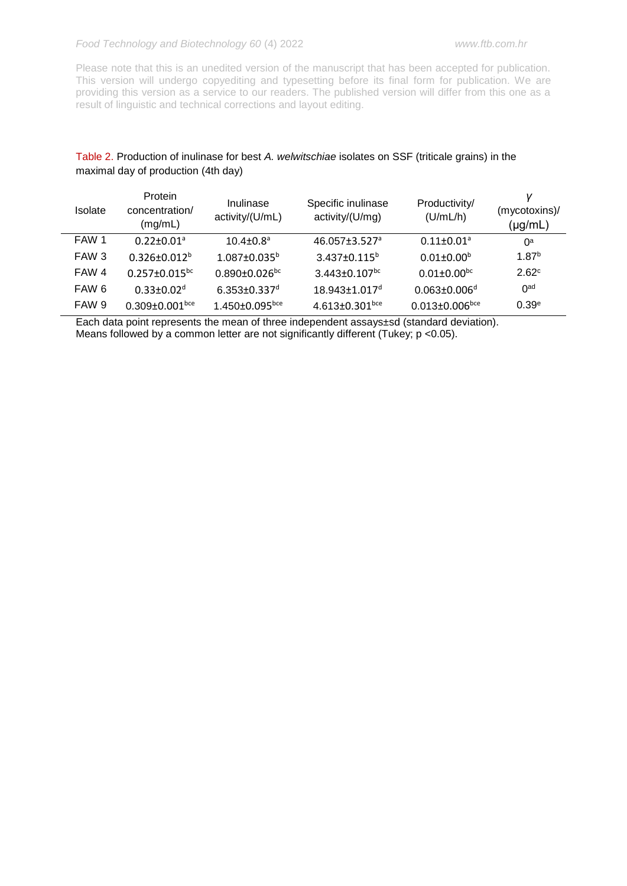Please note that this is an unedited version of the manuscript that has been accepted for publication. This version will undergo copyediting and typesetting before its final form for publication. We are providing this version as a service to our readers. The published version will differ from this one as a result of linguistic and technical corrections and layout editing.

# Table 2. Production of inulinase for best *A. welwitschiae* isolates on SSF (triticale grains) in the maximal day of production (4th day)

| <b>Isolate</b> | Protein<br>concentration/<br>(mg/mL) | Inulinase<br>activity/(U/mL)     | Specific inulinase<br>activity/(U/mg) | Productivity/<br>(U/mL/h)        | (mycotoxins)/<br>$(\mu g/mL)$ |
|----------------|--------------------------------------|----------------------------------|---------------------------------------|----------------------------------|-------------------------------|
| FAW 1          | $0.22 + 0.01$ <sup>a</sup>           | $10.4 \pm 0.8$ <sup>a</sup>      | $46.057 \pm 3.527$ <sup>a</sup>       | $0.11 \pm 0.01^a$                | 0a                            |
| FAW 3          | $0.326 + 0.012^{b}$                  | $1.087 \pm 0.035^{\circ}$        | $3.437 \pm 0.115^b$                   | $0.01 \pm 0.00^b$                | 1.87 <sup>b</sup>             |
| FAW 4          | $0.257 \pm 0.015$ <sup>bc</sup>      | $0.890 \pm 0.026$ <sup>bc</sup>  | $3.443 \pm 0.107$ <sup>bc</sup>       | $0.01 \pm 0.00^{bc}$             | 2.62 <sup>c</sup>             |
| FAW 6          | $0.33 + 0.02d$                       | $6.353 \pm 0.337$ <sup>d</sup>   | $18.943 \pm 1.017$ <sup>d</sup>       | $0.063 \pm 0.006$ <sup>d</sup>   | 0 <sup>ad</sup>               |
| FAW 9          | $0.309 \pm 0.001$ <sub>bce</sub>     | $1.450 \pm 0.095$ <sub>bce</sub> | 4.613 $\pm$ 0.301 <sup>bce</sup>      | $0.013 \pm 0.006$ <sub>bce</sub> | 0.39 <sup>e</sup>             |

Each data point represents the mean of three independent assays±sd (standard deviation). Means followed by a common letter are not significantly different (Tukey; p <0.05).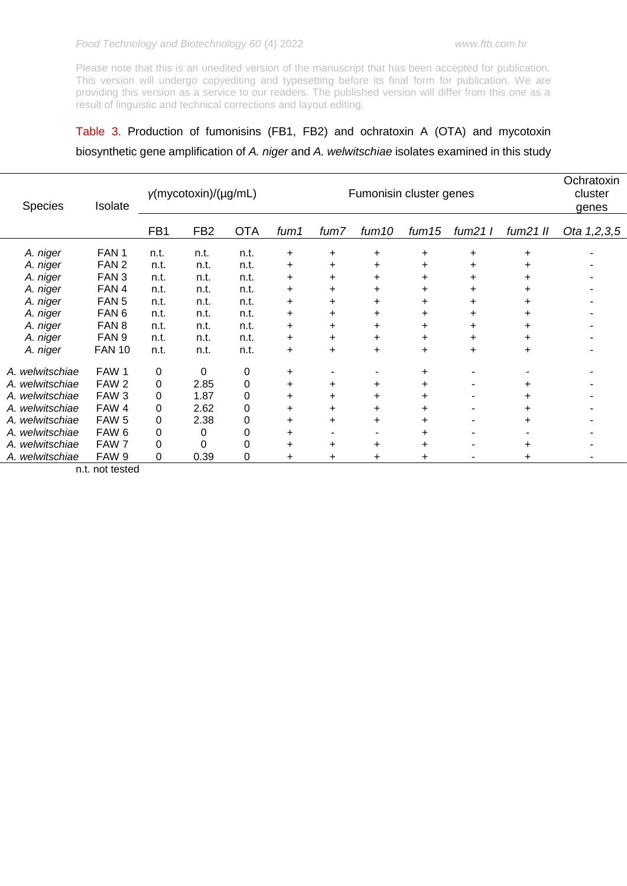# Table 3. Production of fumonisins (FB1, FB2) and ochratoxin A (OTA) and mycotoxin biosynthetic gene amplification of *A. niger* and *A. welwitschiae* isolates examined in this study

| Species         | Isolate          | $y$ (mycotoxin)/(µg/mL) |                 |            |      | Fumonisin cluster genes |           |           |              |                | Ochratoxin<br>cluster<br>genes |  |
|-----------------|------------------|-------------------------|-----------------|------------|------|-------------------------|-----------|-----------|--------------|----------------|--------------------------------|--|
|                 |                  | FB1                     | FB <sub>2</sub> | <b>OTA</b> | fum1 | fum7                    | fum10     | fum15     | $f \sim 211$ | $f \sim 21$ II | Ota 1,2,3,5                    |  |
| A. niger        | FAN <sub>1</sub> | n.t.                    | n.t.            | n.t.       | +    | +                       | +         | $\ddot{}$ | +            | +              |                                |  |
| A. niger        | FAN <sub>2</sub> | n.t.                    | n.t.            | n.t.       | +    | +                       | $\ddot{}$ | +         | +            | ٠              |                                |  |
| A. niger        | FAN <sub>3</sub> | n.t.                    | n.t.            | n.t.       | +    | +                       | +         | +         | +            | +              |                                |  |
| A. niger        | FAN 4            | n.t.                    | n.t.            | n.t.       | +    | +                       | +         | +         | +            | +              |                                |  |
| A. niger        | FAN <sub>5</sub> | n.t.                    | n.t.            | n.t.       | +    | +                       | $\ddot{}$ | +         | +            |                |                                |  |
| A. niger        | FAN <sub>6</sub> | n.t.                    | n.t.            | n.t.       | +    | ÷                       | $\ddot{}$ | +         | +            | ٠              |                                |  |
| A. niger        | FAN <sub>8</sub> | n.t.                    | n.t.            | n.t.       | +    | +                       | $\ddot{}$ | +         | +            | +              |                                |  |
| A. niger        | FAN <sub>9</sub> | n.t.                    | n.t.            | n.t.       | +    | +                       | $\ddot{}$ | $\ddot{}$ | +            | ٠              |                                |  |
| A. niger        | <b>FAN 10</b>    | n.t.                    | n.t.            | n.t.       | +    | +                       | +         | +         | +            | +              |                                |  |
| A. welwitschiae | FAW 1            | 0                       | $\Omega$        | 0          | +    |                         |           | +         |              |                |                                |  |
| A. welwitschiae | FAW <sub>2</sub> | 0                       | 2.85            | 0          | +    | +                       | $\ddot{}$ | $\ddot{}$ |              |                |                                |  |
| A. welwitschiae | FAW <sub>3</sub> | 0                       | 1.87            | 0          | +    | +                       | +         | +         |              |                |                                |  |
| A. welwitschiae | FAW 4            | 0                       | 2.62            | 0          | ÷    | +                       | +         | +         |              |                |                                |  |
| A. welwitschiae | FAW <sub>5</sub> | 0                       | 2.38            | 0          | ÷    | +                       | $\ddot{}$ |           |              |                |                                |  |
| A. welwitschiae | FAW <sub>6</sub> | 0                       | 0               | 0          |      |                         |           | +         |              |                |                                |  |
| A. welwitschiae | FAW 7            | 0                       | 0               | 0          |      | +                       | $\ddot{}$ |           |              | +              |                                |  |
| A. welwitschiae | FAW 9            | 0                       | 0.39            | 0          | +    | ÷                       |           | +         |              | +              |                                |  |

n.t. not tested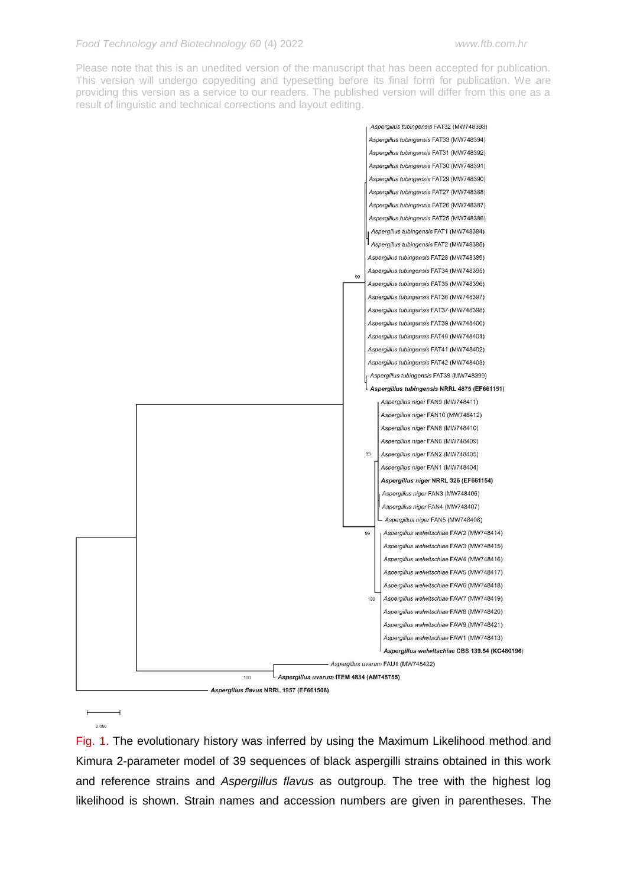

**F** 

Fig. 1. The evolutionary history was inferred by using the Maximum Likelihood method and Kimura 2-parameter model of 39 sequences of black aspergilli strains obtained in this work and reference strains and *Aspergillus flavus* as outgroup. The tree with the highest log likelihood is shown. Strain names and accession numbers are given in parentheses. The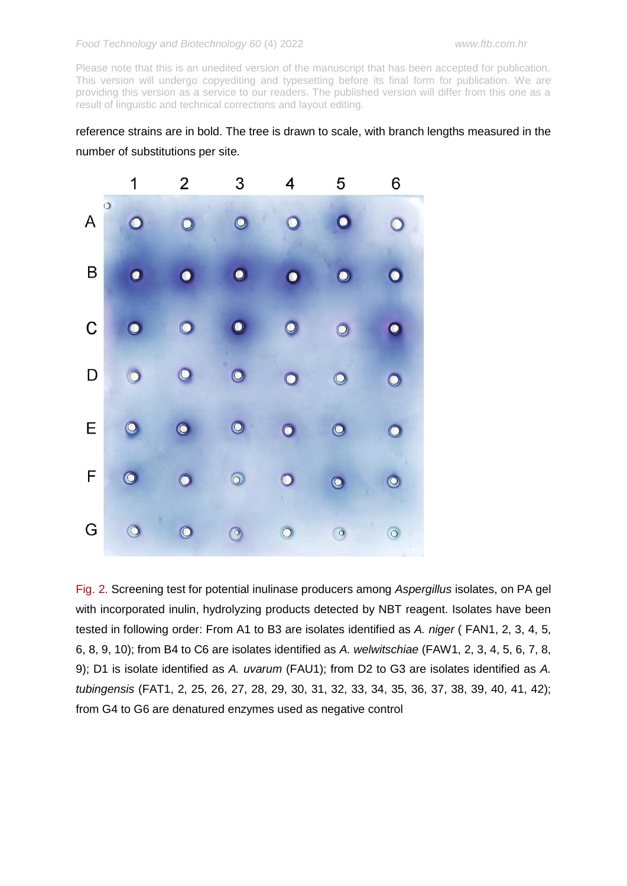reference strains are in bold. The tree is drawn to scale, with branch lengths measured in the number of substitutions per site.



Fig. 2. Screening test for potential inulinase producers among *Aspergillus* isolates, on PA gel with incorporated inulin, hydrolyzing products detected by NBT reagent. Isolates have been tested in following order: From A1 to B3 are isolates identified as *A. niger* ( FAN1, 2, 3, 4, 5, 6, 8, 9, 10); from B4 to C6 are isolates identified as *A. welwitschiae* (FAW1, 2, 3, 4, 5, 6, 7, 8, 9); D1 is isolate identified as *A. uvarum* (FAU1); from D2 to G3 are isolates identified as *A. tubingensis* (FAT1, 2, 25, 26, 27, 28, 29, 30, 31, 32, 33, 34, 35, 36, 37, 38, 39, 40, 41, 42); from G4 to G6 are denatured enzymes used as negative control